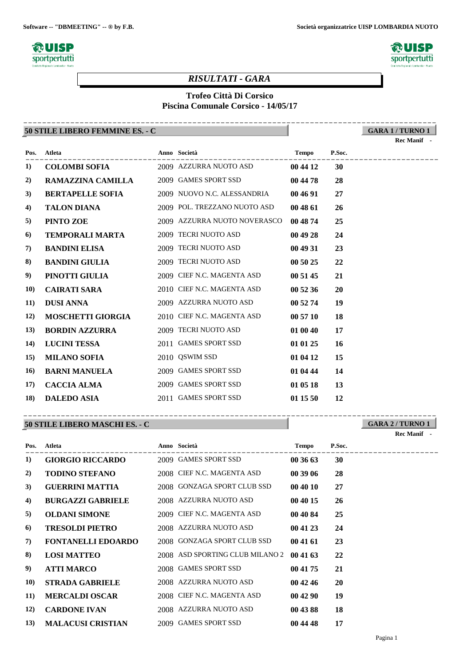



**GARA 1 / TURNO 1**

### *RISULTATI - GARA*

----------------------------------------------------------------------------------------

# **Trofeo Città Di Corsico**

#### **Piscina Comunale Corsico - 14/05/17**

### **50 STILE LIBERO FEMMINE ES. - C**

|      |                                               |                                             |          |           | Rec Manif -       |
|------|-----------------------------------------------|---------------------------------------------|----------|-----------|-------------------|
| Pos. | Atleta                                        | Anno Società                                | Tempo    | P.Soc.    | _________________ |
| 1)   |                                               | <b>COLOMBI SOFIA</b> 2009 AZZURRA NUOTO ASD | 00 44 12 | 30        |                   |
| 2)   | <b>RAMAZZINA CAMILLA</b> 2009 GAMES SPORT SSD |                                             | 00 44 78 | 28        |                   |
| 3)   | <b>BERTAPELLE SOFIA</b>                       | 2009 NUOVO N.C. ALESSANDRIA                 | 00 46 91 | 27        |                   |
| 4)   | TALON DIANA                                   | 2009 POL. TREZZANO NUOTO ASD                | 00 48 61 | <b>26</b> |                   |
| 5)   | PINTO ZOE                                     | 2009 AZZURRA NUOTO NOVERASCO                | 00 48 74 | 25        |                   |
| 6)   | <b>TEMPORALI MARTA</b>                        | 2009 TECRI NUOTO ASD                        | 00 49 28 | 24        |                   |
| 7)   | <b>BANDINI ELISA</b>                          | 2009 TECRI NUOTO ASD                        | 00 49 31 | 23        |                   |
| 8)   | <b>BANDINI GIULIA</b>                         | 2009 TECRI NUOTO ASD                        | 005025   | 22        |                   |
| 9)   | PINOTTI GIULIA                                | 2009 CIEF N.C. MAGENTA ASD                  | 00 51 45 | 21        |                   |
| 10)  | CAIRATI SARA                                  | 2010 CIEF N.C. MAGENTA ASD                  | 00 52 36 | 20        |                   |
| 11)  | <b>DUSI ANNA</b>                              | 2009 AZZURRA NUOTO ASD                      | 00 52 74 | 19        |                   |
| 12)  | <b>MOSCHETTI GIORGIA</b>                      | 2010 CIEF N.C. MAGENTA ASD                  | 005710   | 18        |                   |
| 13)  | <b>BORDIN AZZURRA</b>                         | 2009 TECRI NUOTO ASD                        | 01 00 40 | 17        |                   |
| 14)  | <b>LUCINI TESSA</b>                           | 2011 GAMES SPORT SSD                        | 01 01 25 | <b>16</b> |                   |
| 15)  | <b>MILANO SOFIA</b>                           | 2010 QSWIM SSD                              | 01 04 12 | 15        |                   |
| 16)  | <b>BARNI MANUELA</b>                          | 2009 GAMES SPORT SSD                        | 01 04 44 | 14        |                   |
| 17)  | <b>CACCIA ALMA</b>                            | 2009 GAMES SPORT SSD                        | 01 05 18 | 13        |                   |
| 18)  | <b>DALEDO ASIA</b>                            | 2011 GAMES SPORT SSD                        | 01 15 50 | 12        |                   |

### **50 STILE LIBERO MASCHI ES. - C**

# **GARA 2 / TURNO 1**

**Rec Manif -** 

| Pos.        | <b>Atleta</b>             | Anno Società                    | Tempo    | P.Soc. | ______________ |
|-------------|---------------------------|---------------------------------|----------|--------|----------------|
| 1)          | <b>GIORGIO RICCARDO</b>   | 2009 GAMES SPORT SSD            | 003663   | 30     |                |
| 2)          | <b>TODINO STEFANO</b>     | 2008 CIEF N.C. MAGENTA ASD      | 00 39 06 | 28     |                |
| 3)          | <b>GUERRINI MATTIA</b>    | 2008 GONZAGA SPORT CLUB SSD     | 004010   | 27     |                |
| 4)          | <b>BURGAZZI GABRIELE</b>  | 2008 AZZURRA NUOTO ASD          | 00 40 15 | 26     |                |
| 5)          | <b>OLDANI SIMONE</b>      | 2009 CIEF N.C. MAGENTA ASD      | 00 40 84 | 25     |                |
| 6)          | <b>TRESOLDI PIETRO</b>    | 2008 AZZURRA NUOTO ASD          | 00 41 23 | 24     |                |
| 7)          | <b>FONTANELLI EDOARDO</b> | 2008 GONZAGA SPORT CLUB SSD     | 004161   | 23     |                |
| 8)          | <b>LOSI MATTEO</b>        | 2008 ASD SPORTING CLUB MILANO 2 | 004163   | 22     |                |
| 9)          | <b>ATTI MARCO</b>         | 2008 GAMES SPORT SSD            | 00 41 75 | 21     |                |
| <b>10)</b>  | <b>STRADA GABRIELE</b>    | 2008 AZZURRA NUOTO ASD          | 00 42 46 | 20     |                |
| 11)         | <b>MERCALDI OSCAR</b>     | 2008 CIEF N.C. MAGENTA ASD      | 004290   | 19     |                |
| <b>12</b> ) | <b>CARDONE IVAN</b>       | 2008 AZZURRA NUOTO ASD          | 00 43 88 | 18     |                |
| 13)         | <b>MALACUSI CRISTIAN</b>  | 2009 GAMES SPORT SSD            | 00 44 48 | 17     |                |

----------------------------------------------------------------------------------------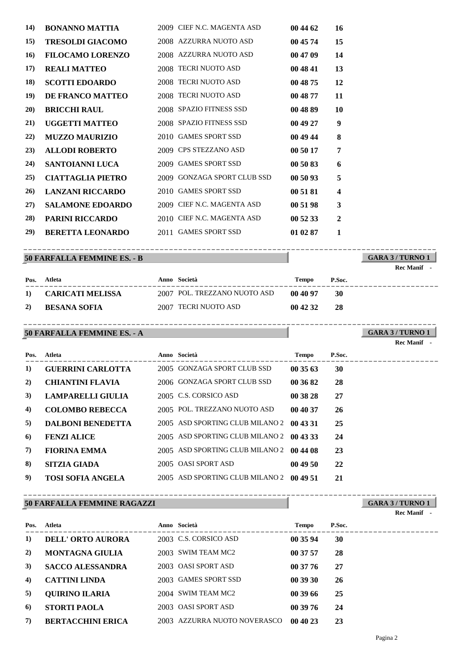| 14)         | <b>BONANNO MATTIA</b>    | 2009 CIEF N.C. MAGENTA ASD  | 00 44 62 | 16                      |
|-------------|--------------------------|-----------------------------|----------|-------------------------|
| 15)         | <b>TRESOLDI GIACOMO</b>  | 2008 AZZURRA NUOTO ASD      | 00 45 74 | 15                      |
| 16)         | <b>FILOCAMO LORENZO</b>  | 2008 AZZURRA NUOTO ASD      | 00 47 09 | 14                      |
| 17)         | <b>REALI MATTEO</b>      | 2008 TECRI NUOTO ASD        | 00 48 41 | 13                      |
| 18)         | <b>SCOTTI EDOARDO</b>    | 2008 TECRI NUOTO ASD        | 00 48 75 | 12                      |
| 19)         | DE FRANCO MATTEO         | 2008 TECRI NUOTO ASD        | 00 48 77 | 11                      |
| <b>20</b> ) | <b>BRICCHI RAUL</b>      | 2008 SPAZIO FITNESS SSD     | 00 48 89 | 10                      |
| 21)         | <b>UGGETTI MATTEO</b>    | 2008 SPAZIO FITNESS SSD     | 00 49 27 | 9                       |
| 22)         | <b>MUZZO MAURIZIO</b>    | 2010 GAMES SPORT SSD        | 00 49 44 | 8                       |
| 23)         | <b>ALLODI ROBERTO</b>    | 2009 CPS STEZZANO ASD       | 00 50 17 | 7                       |
| 24)         | <b>SANTOIANNI LUCA</b>   | 2009 GAMES SPORT SSD        | 00 50 83 | 6                       |
| 25)         | <b>CIATTAGLIA PIETRO</b> | 2009 GONZAGA SPORT CLUB SSD | 00 50 93 | 5                       |
| 26)         | <b>LANZANI RICCARDO</b>  | 2010 GAMES SPORT SSD        | 00 51 81 | $\overline{\mathbf{4}}$ |
| 27)         | <b>SALAMONE EDOARDO</b>  | 2009 CIEF N.C. MAGENTA ASD  | 00 51 98 | 3                       |
| 28)         | <b>PARINI RICCARDO</b>   | 2010 CIEF N.C. MAGENTA ASD  | 00 52 33 | $\overline{2}$          |
| 29)         | <b>BERETTA LEONARDO</b>  | 2011 GAMES SPORT SSD        | 01 02 87 | 1                       |
|             |                          |                             |          |                         |

#### **50 FARFALLA FEMMINE ES. - B** ----------------------------------------------------------------------------------------

**GARA 3 / TURNO 1**

**Rec Manif -** 

| Pos.          | Atleta           | Anno Società                 | Tempo    | P.Soc. |  |
|---------------|------------------|------------------------------|----------|--------|--|
| <sup>1)</sup> | CARICATI MELISSA | 2007 POL. TREZZANO NUOTO ASD | 00 40 97 | 30     |  |
| 2)            | BESANA SOFIA     | 2007 TECRI NUOTO ASD         | 004232   | - 28   |  |

# **50 FARFALLA FEMMINE ES. - A**

**Rec Manif -** 

| Pos. | Atleta                   | Anno Società                    | <b>Tempo</b> | P.Soc. |
|------|--------------------------|---------------------------------|--------------|--------|
| 1)   | <b>GUERRINI CARLOTTA</b> | 2005 GONZAGA SPORT CLUB SSD     | 00 35 63     | 30     |
| 2)   | <b>CHIANTINI FLAVIA</b>  | 2006 GONZAGA SPORT CLUB SSD     | 00 36 82     | 28     |
| 3)   | LAMPARELLI GIULIA        | 2005 C.S. CORSICO ASD           | 00 38 28     | 27     |
| 4)   | <b>COLOMBO REBECCA</b>   | 2005 POL. TREZZANO NUOTO ASD    | 00 40 37     | 26     |
| 5)   | <b>DALBONI BENEDETTA</b> | 2005 ASD SPORTING CLUB MILANO 2 | 00 43 31     | 25     |
| 6    | <b>FENZI ALICE</b>       | 2005 ASD SPORTING CLUB MILANO 2 | 00 43 33     | 24     |
| 7)   | <b>FIORINA EMMA</b>      | 2005 ASD SPORTING CLUB MILANO 2 | 00 44 08     | 23     |
| 8)   | SITZIA GIADA             | 2005 OASI SPORT ASD             | 004950       | 22     |
| 9)   | <b>TOSI SOFIA ANGELA</b> | 2005 ASD SPORTING CLUB MILANO 2 | 00 49 51     | 21     |
|      |                          |                                 |              |        |

# **50 FARFALLA FEMMINE RAGAZZI**

|          |                          |                              |              |           | <b>Rec Manif</b> |
|----------|--------------------------|------------------------------|--------------|-----------|------------------|
| Pos.     | Atleta                   | Anno Società                 | <b>Tempo</b> | P.Soc.    |                  |
| $\bf{1}$ | <b>DELL' ORTO AURORA</b> | 2003 C.S. CORSICO ASD        | 00 35 94     | 30        |                  |
| 2)       | <b>MONTAGNA GIULIA</b>   | 2003 SWIM TEAM MC2           | 00 37 57     | 28        |                  |
| 3)       | <b>SACCO ALESSANDRA</b>  | 2003 OASI SPORT ASD          | 00 37 76     | 27        |                  |
| 4)       | <b>CATTINI LINDA</b>     | 2003 GAMES SPORT SSD         | 00 39 30     | <b>26</b> |                  |
| 5)       | <b>QUIRINO ILARIA</b>    | 2004 SWIM TEAM MC2           | 00 39 66     | 25        |                  |
| 6        | <b>STORTI PAOLA</b>      | 2003 OASI SPORT ASD          | 00 39 76     | 24        |                  |
| 7)       | <b>BERTACCHINI ERICA</b> | 2003 AZZURRA NUOTO NOVERASCO | 004023       | 23        |                  |

----------------------------------------------------------------------------------------

#### **GARA 3 / TURNO 1** ----------------------------------------------------------------------------------------

**GARA 3 / TURNO 1**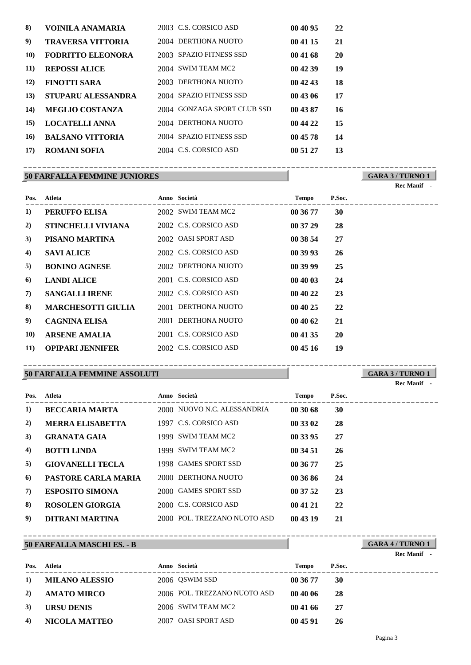| 8)         | VOINILA ANAMARIA         | 2003 C.S. CORSICO ASD       | 00 40 95 | 22 |
|------------|--------------------------|-----------------------------|----------|----|
| 9)         | <b>TRAVERSA VITTORIA</b> | 2004 DERTHONA NUOTO         | 00 41 15 | 21 |
| <b>10)</b> | <b>FODRITTO ELEONORA</b> | 2003 SPAZIO FITNESS SSD     | 00 41 68 | 20 |
| 11)        | <b>REPOSSI ALICE</b>     | 2004 SWIM TEAM MC2          | 00 42 39 | 19 |
| 12)        | <b>FINOTTI SARA</b>      | 2003 DERTHONA NUOTO         | 00 42 43 | 18 |
| 13)        | STUPARU ALESSANDRA       | 2004 SPAZIO FITNESS SSD     | 00 43 06 | 17 |
| 14)        | <b>MEGLIO COSTANZA</b>   | 2004 GONZAGA SPORT CLUB SSD | 00 43 87 | 16 |
| 15)        | <b>LOCATELLI ANNA</b>    | 2004 DERTHONA NUOTO         | 00 44 22 | 15 |
| 16)        | <b>BALSANO VITTORIA</b>  | 2004 SPAZIO FITNESS SSD     | 00 45 78 | 14 |
| 17)        | <b>ROMANI SOFIA</b>      | 2004 C.S. CORSICO ASD       | 00 51 27 | 13 |
|            |                          |                             |          |    |

#### **50 FARFALLA FEMMINE JUNIORES** ----------------------------------------------------------------------------------------

| Pos.        | Atleta                    | Anno Società          | <b>Tempo</b> | P.Soc.    |
|-------------|---------------------------|-----------------------|--------------|-----------|
| 1)          | PERUFFO ELISA             | 2002 SWIM TEAM MC2    | 00 36 77     | 30        |
| 2)          | STINCHELLI VIVIANA        | 2002 C.S. CORSICO ASD | 003729       | 28        |
| 3)          | PISANO MARTINA            | 2002 OASI SPORT ASD   | 00 38 54     | 27        |
| 4)          | <b>SAVI ALICE</b>         | 2002 C.S. CORSICO ASD | 00 39 93     | <b>26</b> |
| 5)          | <b>BONINO AGNESE</b>      | 2002 DERTHONA NUOTO   | 003999       | 25        |
| 6)          | <b>LANDI ALICE</b>        | 2001 C.S. CORSICO ASD | 004003       | 24        |
| 7)          | <b>SANGALLI IRENE</b>     | 2002 C.S. CORSICO ASD | 00 40 22     | 23        |
| 8)          | <b>MARCHESOTTI GIULIA</b> | 2001 DERTHONA NUOTO   | 004025       | 22        |
| 9)          | CAGNINA ELISA             | 2001 DERTHONA NUOTO   | 004062       | 21        |
| <b>10)</b>  | <b>ARSENE AMALIA</b>      | 2001 C.S. CORSICO ASD | 00 41 35     | 20        |
| <b>11</b> ) | <b>OPIPARI JENNIFER</b>   | 2002 C.S. CORSICO ASD | 00 45 16     | 19        |

### **50 FARFALLA FEMMINE ASSOLUTI**

#### **GARA 3 / TURNO 1** ----------------------------------------------------------------------------------------

**Rec Manif -** 

| Pos. | Atleta                     | Anno Società                 | <b>Tempo</b> | P.Soc. |
|------|----------------------------|------------------------------|--------------|--------|
| 1)   | BECCARIA MARTA             | 2000 NUOVO N.C. ALESSANDRIA  | 003068       | 30     |
| 2)   | <b>MERRA ELISABETTA</b>    | 1997 C.S. CORSICO ASD        | 00 33 02     | 28     |
| 3)   | <b>GRANATA GAIA</b>        | 1999 SWIM TEAM MC2           | 00 33 95     | 27     |
| 4)   | <b>BOTTI LINDA</b>         | 1999 SWIM TEAM MC2           | 00 34 51     | 26     |
| 5)   | <b>GIOVANELLI TECLA</b>    | 1998 GAMES SPORT SSD         | 00 36 77     | 25     |
| 6    | <b>PASTORE CARLA MARIA</b> | 2000 DERTHONA NUOTO          | 00 36 86     | 24     |
| 7)   | <b>ESPOSITO SIMONA</b>     | 2000 GAMES SPORT SSD         | 00 37 52     | 23     |
| 8)   | <b>ROSOLEN GIORGIA</b>     | 2000 C.S. CORSICO ASD        | 004121       | 22     |
| 9)   | DITRANI MARTINA            | 2000 POL. TREZZANO NUOTO ASD | 004319       | 21     |

# **50 FARFALLA MASCHI ES. - B**

# **GARA 4 / TURNO 1**

|  | <b>Rec Manif</b> |  |
|--|------------------|--|
|--|------------------|--|

| Pos. | Atleta                | Anno Società                 | <b>Tempo</b> | P.Soc. |
|------|-----------------------|------------------------------|--------------|--------|
| 1)   | <b>MILANO ALESSIO</b> | 2006 QSWIM SSD               | 00 36 77     | -30    |
| 2)   | <b>AMATO MIRCO</b>    | 2006 POL. TREZZANO NUOTO ASD | 00 40 06     | 28     |
| 3)   | URSU DENIS            | 2006 SWIM TEAM MC2           | 00 41 66     | 27     |
| 4)   | NICOLA MATTEO         | 2007 OASI SPORT ASD          | 00 45 91     | -26    |

**GARA 3 / TURNO 1**

**Rec Manif -** 

# ----------------------------------------------------------------------------------------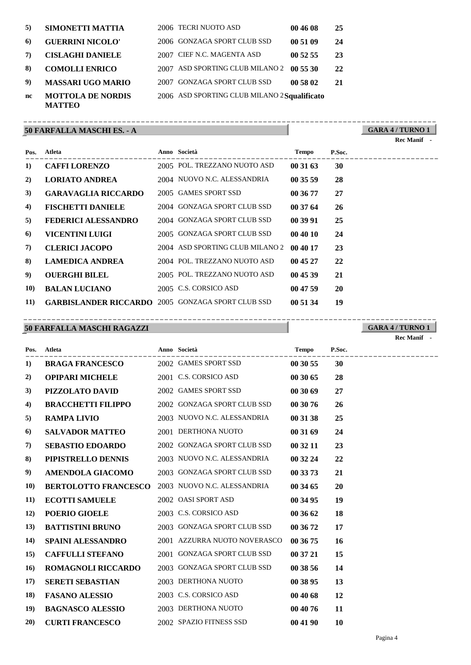| 5). | <b>SIMONETTI MATTIA</b>  | 2006 TECRI NUOTO ASD                         | 00 46 08 | 25 |
|-----|--------------------------|----------------------------------------------|----------|----|
| 6)  | <b>GUERRINI NICOLO'</b>  | 2006 GONZAGA SPORT CLUB SSD                  | 00 51 09 | 24 |
| 7). | <b>CISLAGHI DANIELE</b>  | 2007 CIEF N.C. MAGENTA ASD                   | 005255   | 23 |
| 8)  | <b>COMOLLI ENRICO</b>    | 2007 ASD SPORTING CLUB MILANO 2              | 005530   | 22 |
| 9). | <b>MASSARI UGO MARIO</b> | 2007 GONZAGA SPORT CLUB SSD                  | 00 58 02 | 21 |
| nc  | <b>MOTTOLA DE NORDIS</b> | 2006 ASD SPORTING CLUB MILANO 2 Squalificato |          |    |

----------------------------------------------------------------------------------------

### **50 FARFALLA MASCHI ES. - A**

**MATTEO**

**GARA 4 / TURNO 1**

| Pos.       | Atleta                                                   | Anno Società                    | Tempo    | P.Soc. | _____________ |
|------------|----------------------------------------------------------|---------------------------------|----------|--------|---------------|
| 1)         | <b>CAFFI LORENZO</b>                                     | 2005 POL. TREZZANO NUOTO ASD    | 003163   | 30     |               |
| 2)         | LORIATO ANDREA                                           | 2004 NUOVO N.C. ALESSANDRIA     | 00 35 59 | 28     |               |
| 3)         | <b>GARAVAGLIA RICCARDO</b>                               | 2005 GAMES SPORT SSD            | 00 36 77 | 27     |               |
| 4)         | <b>FISCHETTI DANIELE</b>                                 | 2004 GONZAGA SPORT CLUB SSD     | 00 37 64 | 26     |               |
| 5)         | <b>FEDERICI ALESSANDRO</b>                               | 2004 GONZAGA SPORT CLUB SSD     | 00 39 91 | 25     |               |
| 6          | VICENTINI LUIGI                                          | 2005 GONZAGA SPORT CLUB SSD     | 004010   | 24     |               |
| 7)         | <b>CLERICI JACOPO</b>                                    | 2004 ASD SPORTING CLUB MILANO 2 | 00 40 17 | 23     |               |
| 8)         | LAMEDICA ANDREA                                          | 2004 POL. TREZZANO NUOTO ASD    | 004527   | 22     |               |
| 9)         | <b>OUERGHI BILEL</b>                                     | 2005 POL. TREZZANO NUOTO ASD    | 004539   | 21     |               |
| <b>10)</b> | <b>BALAN LUCIANO</b>                                     | 2005 C.S. CORSICO ASD           | 004759   | 20     |               |
| 11)        | <b>GARBISLANDER RICCARDO 2005 GONZAGA SPORT CLUB SSD</b> |                                 | 00 51 34 | 19     |               |

**50 FARFALLA MASCHI RAGAZZI** ----------------------------------------------------------------------------------------

**GARA 4 / TURNO 1**

|             |                                                  |                              |          |           | Rec Manif - |
|-------------|--------------------------------------------------|------------------------------|----------|-----------|-------------|
| Pos.        | Atleta                                           | Anno Società                 | Tempo    | P.Soc.    |             |
| 1)          | <b>BRAGA FRANCESCO</b>                           | 2002 GAMES SPORT SSD         | 00 30 55 | 30        |             |
| 2)          | <b>OPIPARI MICHELE</b> 2001 C.S. CORSICO ASD     |                              | 00 30 65 | 28        |             |
| 3)          | PIZZOLATO DAVID                                  | 2002 GAMES SPORT SSD         | 003069   | 27        |             |
| 4)          | <b>BRACCHETTI FILIPPO</b>                        | 2002 GONZAGA SPORT CLUB SSD  | 00 30 76 | 26        |             |
| 5)          | <b>RAMPA LIVIO</b>                               | 2003 NUOVO N.C. ALESSANDRIA  | 00 31 38 | 25        |             |
| 6)          | <b>SALVADOR MATTEO</b>                           | 2001 DERTHONA NUOTO          | 00 31 69 | 24        |             |
| 7)          | <b>SEBASTIO EDOARDO</b>                          | 2002 GONZAGA SPORT CLUB SSD  | 00 32 11 | 23        |             |
| 8)          | PIPISTRELLO DENNIS                               | 2003 NUOVO N.C. ALESSANDRIA  | 00 32 24 | 22        |             |
| 9)          | AMENDOLA GIACOMO                                 | 2003 GONZAGA SPORT CLUB SSD  | 00 33 73 | 21        |             |
| <b>10</b>   | BERTOLOTTO FRANCESCO 2003 NUOVO N.C. ALESSANDRIA |                              | 00 34 65 | 20        |             |
| <b>11</b> ) | <b>ECOTTI SAMUELE</b>                            | 2002 OASI SPORT ASD          | 00 34 95 | 19        |             |
| <b>12</b> ) | POERIO GIOELE                                    | 2003 C.S. CORSICO ASD        | 00 36 62 | 18        |             |
| 13)         | <b>BATTISTINI BRUNO</b>                          | 2003 GONZAGA SPORT CLUB SSD  | 00 36 72 | 17        |             |
| 14)         | <b>SPAINI ALESSANDRO</b>                         | 2001 AZZURRA NUOTO NOVERASCO | 00 36 75 | <b>16</b> |             |
| 15)         | <b>CAFFULLI STEFANO</b>                          | 2001 GONZAGA SPORT CLUB SSD  | 00 37 21 | 15        |             |
| 16)         | <b>ROMAGNOLI RICCARDO</b>                        | 2003 GONZAGA SPORT CLUB SSD  | 00 38 56 | 14        |             |
| 17)         | <b>SERETI SEBASTIAN</b>                          | 2003 DERTHONA NUOTO          | 00 38 95 | 13        |             |
| <b>18</b> ) | <b>FASANO ALESSIO</b>                            | 2003 C.S. CORSICO ASD        | 004068   | 12        |             |
| 19)         | <b>BAGNASCO ALESSIO</b>                          | 2003 DERTHONA NUOTO          | 00 40 76 | 11        |             |
| 20)         | <b>CURTI FRANCESCO</b>                           | 2002 SPAZIO FITNESS SSD      | 00 41 90 | <b>10</b> |             |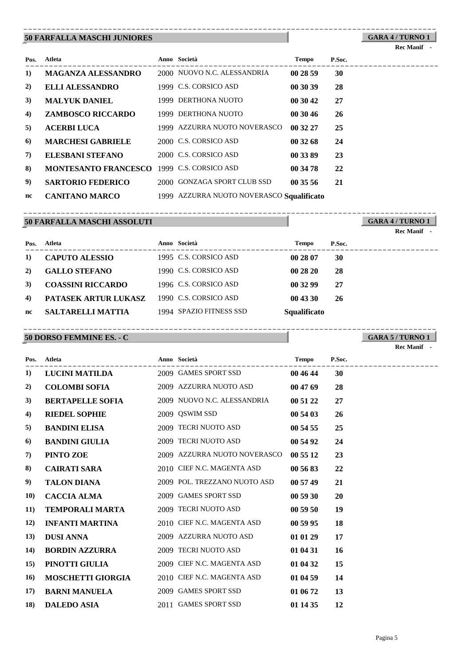#### **50 FARFALLA MASCHI JUNIORES** ----------------------------------------------------------------------------------------

# **GARA 4 / TURNO 1**

| <b>Rec Manif</b> |  |
|------------------|--|
|                  |  |

| Pos.     | Atleta                                     | Anno Società                              | <b>Tempo</b> | P.Soc. |  |
|----------|--------------------------------------------|-------------------------------------------|--------------|--------|--|
| $\bf{1}$ | MAGANZA ALESSANDRO                         | 2000 NUOVO N.C. ALESSANDRIA               | 00 28 59     | 30     |  |
| 2)       | <b>ELLI ALESSANDRO</b>                     | 1999 C.S. CORSICO ASD                     | 00 30 39     | 28     |  |
| 3)       | <b>MALYUK DANIEL</b>                       | 1999 DERTHONA NUOTO                       | 00 30 42     | 27     |  |
| 4)       | <b>ZAMBOSCO RICCARDO</b>                   | 1999 DERTHONA NUOTO                       | 00 30 46     | 26     |  |
| 5)       | <b>ACERBI LUCA</b>                         | 1999 AZZURRA NUOTO NOVERASCO              | 00 32 27     | 25     |  |
| 6        | <b>MARCHESI GABRIELE</b>                   | 2000 C.S. CORSICO ASD                     | 003268       | 24     |  |
| 7)       | ELESBANI STEFANO                           | 2000 C.S. CORSICO ASD                     | 00 33 89     | 23     |  |
| 8)       | MONTESANTO FRANCESCO 1999 C.S. CORSICO ASD |                                           | 00 34 78     | 22     |  |
| 9)       | <b>SARTORIO FEDERICO</b>                   | 2000 GONZAGA SPORT CLUB SSD               | 003556       | 21     |  |
| nc       | <b>CANITANO MARCO</b>                      | 1999 AZZURRA NUOTO NOVERASCO Squalificato |              |        |  |

# **50 FARFALLA MASCHI ASSOLUTI**

**GARA 4 / TURNO 1** ---------------------------------------------------------------------------------------- **Rec Manif -** 

| Pos. | Atleta                      | Anno Società            | <b>Tempo</b>        | P.Soc. |
|------|-----------------------------|-------------------------|---------------------|--------|
| 1)   | <b>CAPUTO ALESSIO</b>       | 1995 C.S. CORSICO ASD   | 00 28 07            | 30     |
| 2)   | <b>GALLO STEFANO</b>        | 1990 C.S. CORSICO ASD   | 00 28 20            | 28     |
| 3)   | <b>COASSINI RICCARDO</b>    | 1996 C.S. CORSICO ASD   | 00 32 99            | -27    |
| 4)   | <b>PATASEK ARTUR LUKASZ</b> | 1990 C.S. CORSICO ASD   | 004330              | 26     |
| nc   | <b>SALTARELLI MATTIA</b>    | 1994 SPAZIO FITNESS SSD | <b>Squalificato</b> |        |

----------------------------------------------------------------------------------------

# **50 DORSO FEMMINE ES. - C**

**GARA 5 / TURNO 1 Rec Manif -** 

|            | Pos. Atleta              | Anno Società                                         | <b>Tempo</b> | P.Soc.<br>_________________ |
|------------|--------------------------|------------------------------------------------------|--------------|-----------------------------|
| 1)         | <b>LUCINI MATILDA</b>    | 2009 GAMES SPORT SSD                                 | 00 46 44     | <b>30</b>                   |
| 2)         |                          | <b>COLOMBI SOFIA</b> 2009 AZZURRA NUOTO ASD 00 47 69 |              | 28                          |
| 3)         | <b>BERTAPELLE SOFIA</b>  | 2009 NUOVO N.C. ALESSANDRIA                          | 00 51 22     | 27                          |
| 4)         | <b>RIEDEL SOPHIE</b>     | 2009 QSWIM SSD                                       | 005403       | 26                          |
| 5)         | <b>BANDINI ELISA</b>     | 2009 TECRI NUOTO ASD                                 | 00 54 55     | 25                          |
| 6)         | <b>BANDINI GIULIA</b>    | 2009 TECRI NUOTO ASD                                 | 00 54 92     | 24                          |
| 7)         | PINTO ZOE                | 2009 AZZURRA NUOTO NOVERASCO                         | 00 55 12     | 23                          |
| 8)         | <b>CAIRATI SARA</b>      | 2010 CIEF N.C. MAGENTA ASD                           | 00 56 83     | 22                          |
| 9)         | TALON DIANA              | 2009 POL. TREZZANO NUOTO ASD                         | 00 57 49     | 21                          |
| <b>10)</b> | CACCIA ALMA              | 2009 GAMES SPORT SSD                                 | 005930       | <b>20</b>                   |
| 11)        | <b>TEMPORALI MARTA</b>   | 2009 TECRI NUOTO ASD                                 | 005950       | 19                          |
| 12)        | <b>INFANTI MARTINA</b>   | 2010 CIEF N.C. MAGENTA ASD                           | 00 59 95     | 18                          |
| 13)        | <b>DUSI ANNA</b>         | 2009 AZZURRA NUOTO ASD                               | 01 01 29     | 17                          |
| 14)        | <b>BORDIN AZZURRA</b>    | 2009 TECRI NUOTO ASD                                 | 01 04 31     | 16                          |
| 15)        | PINOTTI GIULIA           | 2009 CIEF N.C. MAGENTA ASD                           | 01 04 32     | 15                          |
| 16)        | <b>MOSCHETTI GIORGIA</b> | 2010 CIEF N.C. MAGENTA ASD                           | 01 04 59     | 14                          |
| 17)        | <b>BARNI MANUELA</b>     | 2009 GAMES SPORT SSD                                 | 01 06 72     | 13                          |
| 18)        | DALEDO ASIA              | 2011 GAMES SPORT SSD                                 | 01 14 35     | 12                          |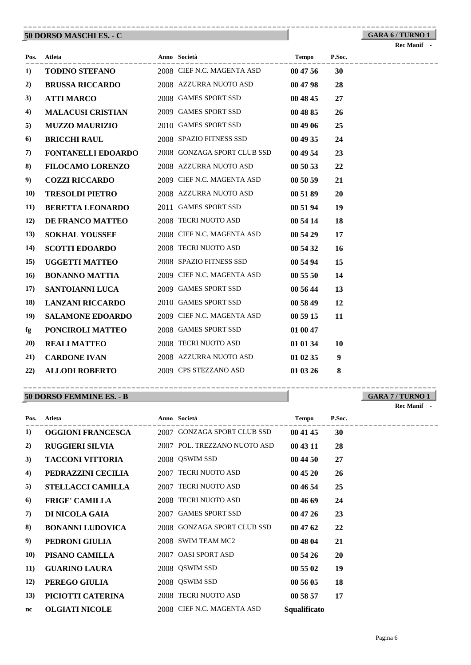#### **50 DORSO MASCHI ES. - C** ----------------------------------------------------------------------------------------

**GARA 6 / TURNO 1**

**Rec Manif** 

|                   | Pos. Atleta               | <b>Anno Società</b>         | Tempo    | P.Soc.<br>______________ |  |
|-------------------|---------------------------|-----------------------------|----------|--------------------------|--|
| 1)                | <b>TODINO STEFANO</b>     | 2008 CIEF N.C. MAGENTA ASD  | 00 47 56 | 30                       |  |
| 2)                | <b>BRUSSA RICCARDO</b>    | 2008 AZZURRA NUOTO ASD      | 00 47 98 | 28                       |  |
| 3)                | <b>ATTI MARCO</b>         | 2008 GAMES SPORT SSD        | 00 48 45 | 27                       |  |
| $\left( 4\right)$ | <b>MALACUSI CRISTIAN</b>  | 2009 GAMES SPORT SSD        | 00 48 85 | 26                       |  |
| 5)                | <b>MUZZO MAURIZIO</b>     | 2010 GAMES SPORT SSD        | 00 49 06 | 25                       |  |
| 6)                | <b>BRICCHI RAUL</b>       | 2008 SPAZIO FITNESS SSD     | 00 49 35 | 24                       |  |
| 7)                | <b>FONTANELLI EDOARDO</b> | 2008 GONZAGA SPORT CLUB SSD | 004954   | 23                       |  |
| 8)                | <b>FILOCAMO LORENZO</b>   | 2008 AZZURRA NUOTO ASD      | 005053   | 22                       |  |
| 9)                | <b>COZZI RICCARDO</b>     | 2009 CIEF N.C. MAGENTA ASD  | 005059   | 21                       |  |
| <b>10)</b>        | <b>TRESOLDI PIETRO</b>    | 2008 AZZURRA NUOTO ASD      | 00 51 89 | 20                       |  |
| 11)               | <b>BERETTA LEONARDO</b>   | 2011 GAMES SPORT SSD        | 00 51 94 | 19                       |  |
| 12)               | <b>DE FRANCO MATTEO</b>   | 2008 TECRI NUOTO ASD        | 00 54 14 | 18                       |  |
| 13)               | <b>SOKHAL YOUSSEF</b>     | 2008 CIEF N.C. MAGENTA ASD  | 00 54 29 | 17                       |  |
| 14)               | <b>SCOTTI EDOARDO</b>     | 2008 TECRI NUOTO ASD        | 00 54 32 | <b>16</b>                |  |
| 15)               | UGGETTI MATTEO            | 2008 SPAZIO FITNESS SSD     | 00 54 94 | 15                       |  |
| 16)               | <b>BONANNO MATTIA</b>     | 2009 CIEF N.C. MAGENTA ASD  | 00 55 50 | 14                       |  |
| 17)               | SANTOIANNI LUCA           | 2009 GAMES SPORT SSD        | 00 56 44 | 13                       |  |
| 18)               | <b>LANZANI RICCARDO</b>   | 2010 GAMES SPORT SSD        | 00 58 49 | 12                       |  |
| 19)               | <b>SALAMONE EDOARDO</b>   | 2009 CIEF N.C. MAGENTA ASD  | 00 59 15 | 11                       |  |
| fg                | PONCIROLI MATTEO          | 2008 GAMES SPORT SSD        | 01 00 47 |                          |  |
| <b>20</b> )       | <b>REALI MATTEO</b>       | 2008 TECRI NUOTO ASD        | 01 01 34 | <b>10</b>                |  |
| 21)               | <b>CARDONE IVAN</b>       | 2008 AZZURRA NUOTO ASD      | 01 02 35 | 9                        |  |
| 22)               | <b>ALLODI ROBERTO</b>     | 2009 CPS STEZZANO ASD       | 01 03 26 | 8                        |  |

#### **50 DORSO FEMMINE ES. - B** ----------------------------------------------------------------------------------------

---------------------------------------------------------------------------------------- **Atleta Anno Società Tempo P.Soc. Pos. 1) OGGIONI FRANCESCA** 2007 GONZAGA SPORT CLUB SSD **00 41 45 30 2) RUGGIERI SILVIA** 2007 POL. TREZZANO NUOTO ASD **00 43 11 28 3) TACCONI VITTORIA** 2008 QSWIM SSD **00 44 50 27 4) PEDRAZZINI CECILIA** 2007 TECRI NUOTO ASD **00 45 20 26 5) STELLACCI CAMILLA** 2007 TECRI NUOTO ASD **00 46 54 25 6) FRIGE' CAMILLA** 2008 TECRI NUOTO ASD **00 46 69 24 7) DI NICOLA GAIA** 2007 GAMES SPORT SSD **00 47 26 23 8) BONANNI LUDOVICA** 2008 GONZAGA SPORT CLUB SSD **00 47 62 22 9) PEDRONI GIULIA** 2008 SWIM TEAM MC2 **00 48 04 21 10) PISANO CAMILLA** 2007 OASI SPORT ASD **00 54 26 20 11) GUARINO LAURA** 2008 QSWIM SSD **00 55 02 19 12) PEREGO GIULIA** 2008 QSWIM SSD **00 56 05 18 13) PICIOTTI CATERINA** 2008 TECRI NUOTO ASD **00 58 57 17**

**nc OLGIATI NICOLE** 2008 CIEF N.C. MAGENTA ASD **Squalificato**

#### Pagina 6

**GARA 7 / TURNO 1**

**Rec Manif**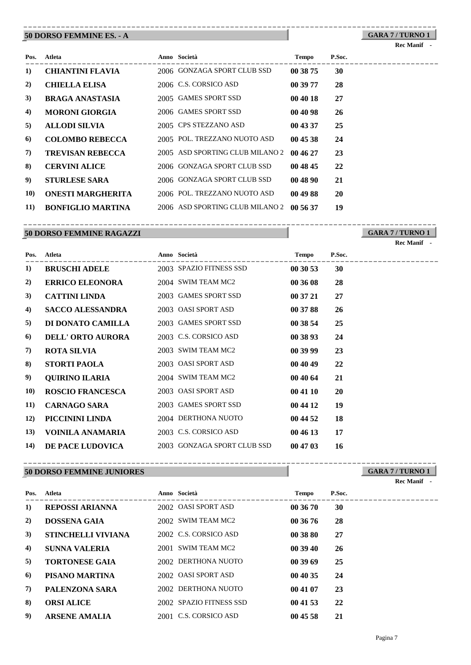#### **50 DORSO FEMMINE ES. - A**

#### **GARA 7 / TURNO 1** ----------------------------------------------------------------------------------------

**Rec Manif -** 

| Pos. | Atleta                   | Anno Società                    | <b>Tempo</b> | P.Soc.    |
|------|--------------------------|---------------------------------|--------------|-----------|
| 1)   | <b>CHIANTINI FLAVIA</b>  | 2006 GONZAGA SPORT CLUB SSD     | 00 38 75     | 30        |
| 2)   | <b>CHIELLA ELISA</b>     | 2006 C.S. CORSICO ASD           | 00 39 77     | 28        |
| 3)   | <b>BRAGA ANASTASIA</b>   | 2005 GAMES SPORT SSD            | 00 40 18     | 27        |
| 4)   | <b>MORONI GIORGIA</b>    | 2006 GAMES SPORT SSD            | 00 40 98     | 26        |
| 5)   | <b>ALLODI SILVIA</b>     | 2005 CPS STEZZANO ASD           | 00 43 37     | 25        |
| 6    | <b>COLOMBO REBECCA</b>   | 2005 POL. TREZZANO NUOTO ASD    | 00 45 38     | 24        |
| 7)   | <b>TREVISAN REBECCA</b>  | 2005 ASD SPORTING CLUB MILANO 2 | 004627       | 23        |
| 8)   | <b>CERVINI ALICE</b>     | 2006 GONZAGA SPORT CLUB SSD     | 00 48 45     | 22        |
| 9)   | <b>STURLESE SARA</b>     | 2006 GONZAGA SPORT CLUB SSD     | 004890       | 21        |
| 10)  | <b>ONESTI MARGHERITA</b> | 2006 POL. TREZZANO NUOTO ASD    | 00 49 88     | <b>20</b> |
| 11)  | <b>BONFIGLIO MARTINA</b> | 2006 ASD SPORTING CLUB MILANO 2 | 00 56 37     | 19        |

### **50 DORSO FEMMINE RAGAZZI**

**GARA 7 / TURNO 1** ----------------------------------------------------------------------------------------

|             |                         |                             |          |           | Rec Manif - |
|-------------|-------------------------|-----------------------------|----------|-----------|-------------|
| Pos.        | Atleta                  | Anno Società                | Tempo    | P.Soc.    |             |
| 1)          | <b>BRUSCHI ADELE</b>    | 2003 SPAZIO FITNESS SSD     | 003053   | 30        |             |
| 2)          | <b>ERRICO ELEONORA</b>  | 2004 SWIM TEAM MC2          | 00 36 08 | 28        |             |
| 3)          | <b>CATTINI LINDA</b>    | 2003 GAMES SPORT SSD        | 00 37 21 | 27        |             |
| 4)          | <b>SACCO ALESSANDRA</b> | 2003 OASI SPORT ASD         | 00 37 88 | <b>26</b> |             |
| 5)          | DI DONATO CAMILLA       | 2003 GAMES SPORT SSD        | 00 38 54 | 25        |             |
| 6)          | DELL' ORTO AURORA       | 2003 C.S. CORSICO ASD       | 00 38 93 | 24        |             |
| 7)          | <b>ROTA SILVIA</b>      | 2003 SWIM TEAM MC2          | 00 39 99 | 23        |             |
| 8)          | <b>STORTI PAOLA</b>     | 2003 OASI SPORT ASD         | 00 40 49 | 22        |             |
| 9)          | QUIRINO ILARIA          | 2004 SWIM TEAM MC2          | 00 40 64 | 21        |             |
| <b>10)</b>  | <b>ROSCIO FRANCESCA</b> | 2003 OASI SPORT ASD         | 00 41 10 | <b>20</b> |             |
| 11)         | <b>CARNAGO SARA</b>     | 2003 GAMES SPORT SSD        | 00 44 12 | 19        |             |
| <b>12</b> ) | PICCININI LINDA         | 2004 DERTHONA NUOTO         | 00 44 52 | 18        |             |
| 13)         | VOINILA ANAMARIA        | 2003 C.S. CORSICO ASD       | 00 46 13 | 17        |             |
| 14)         | DE PACE LUDOVICA        | 2003 GONZAGA SPORT CLUB SSD | 00 47 03 | <b>16</b> |             |

### **50 DORSO FEMMINE JUNIORES**

**GARA 7 / TURNO 1** ----------------------------------------------------------------------------------------

| <b>Rec Manif</b> |  |
|------------------|--|
|------------------|--|

| Pos. | Atleta                    | Anno Società            | <b>Tempo</b> | P.Soc.    |
|------|---------------------------|-------------------------|--------------|-----------|
| 1)   | REPOSSI ARIANNA           | 2002 OASI SPORT ASD     | 00 36 70     | 30        |
| 2)   | <b>DOSSENA GAIA</b>       | 2002 SWIM TEAM MC2      | 00 36 76     | 28        |
| 3)   | <b>STINCHELLI VIVIANA</b> | 2002 C.S. CORSICO ASD   | 00 38 80     | 27        |
| 4)   | <b>SUNNA VALERIA</b>      | 2001 SWIM TEAM MC2      | 00 39 40     | <b>26</b> |
| 5)   | <b>TORTONESE GAIA</b>     | 2002 DERTHONA NUOTO     | 003969       | 25        |
| 6    | PISANO MARTINA            | 2002 OASI SPORT ASD     | 004035       | 24        |
| 7)   | PALENZONA SARA            | 2002 DERTHONA NUOTO     | 00 41 07     | 23        |
| 8)   | <b>ORSI ALICE</b>         | 2002 SPAZIO FITNESS SSD | 00 41 53     | 22        |
| 9)   | <b>ARSENE AMALIA</b>      | 2001 C.S. CORSICO ASD   | 00 45 58     | 21        |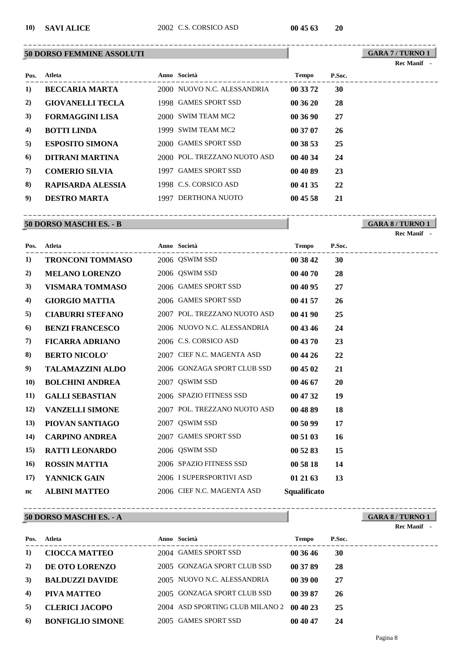### **50 DORSO FEMMINE ASSOLUTI**

**GARA 7 / TURNO 1** ----------------------------------------------------------------------------------------

| <b>Rec Manif</b> |  |
|------------------|--|
|------------------|--|

| Pos. | Atleta                  | Anno Società                 | <b>Tempo</b> | P.Soc. |  |
|------|-------------------------|------------------------------|--------------|--------|--|
| 1)   | <b>BECCARIA MARTA</b>   | 2000 NUOVO N.C. ALESSANDRIA  | 00 33 72     | 30     |  |
| 2)   | <b>GIOVANELLI TECLA</b> | 1998 GAMES SPORT SSD         | 00 36 20     | 28     |  |
| 3)   | <b>FORMAGGINI LISA</b>  | 2000 SWIM TEAM MC2           | 003690       | 27     |  |
| 4)   | <b>BOTTI LINDA</b>      | 1999 SWIM TEAM MC2           | 00 37 07     | 26     |  |
| 5)   | <b>ESPOSITO SIMONA</b>  | 2000 GAMES SPORT SSD         | 00 38 53     | 25     |  |
| 6    | <b>DITRANI MARTINA</b>  | 2000 POL. TREZZANO NUOTO ASD | 00 40 34     | 24     |  |
| 7)   | <b>COMERIO SILVIA</b>   | 1997 GAMES SPORT SSD         | 00 40 89     | 23     |  |
| 8)   | RAPISARDA ALESSIA       | 1998 C.S. CORSICO ASD        | 00 41 35     | 22     |  |
| 9)   | <b>DESTRO MARTA</b>     | 1997 DERTHONA NUOTO          | 00 45 58     | 21     |  |
|      |                         |                              |              |        |  |

#### **50 DORSO MASCHI ES. - B**

**GARA 8 / TURNO 1** ---------------------------------------------------------------------------------------- **Rec Manif -** 

| Pos.        | Atleta                  | Anno Società                 | <b>Tempo</b>        | P.Soc. |  |
|-------------|-------------------------|------------------------------|---------------------|--------|--|
| 1)          | <b>TRONCONI TOMMASO</b> | 2006 QSWIM SSD               | 00 38 42            | 30     |  |
| 2)          | <b>MELANO LORENZO</b>   | 2006 QSWIM SSD               | 00 40 70            | 28     |  |
| 3)          | VISMARA TOMMASO         | 2006 GAMES SPORT SSD         | 00 40 95            | 27     |  |
| 4)          | <b>GIORGIO MATTIA</b>   | 2006 GAMES SPORT SSD         | 00 41 57            | 26     |  |
| 5)          | <b>CIABURRI STEFANO</b> | 2007 POL. TREZZANO NUOTO ASD | 00 41 90            | 25     |  |
| 6           | <b>BENZI FRANCESCO</b>  | 2006 NUOVO N.C. ALESSANDRIA  | 00 43 46            | 24     |  |
| 7)          | <b>FICARRA ADRIANO</b>  | 2006 C.S. CORSICO ASD        | 00 43 70            | 23     |  |
| 8)          | <b>BERTO NICOLO'</b>    | 2007 CIEF N.C. MAGENTA ASD   | 00 44 26            | 22     |  |
| 9)          | TALAMAZZINI ALDO        | 2006 GONZAGA SPORT CLUB SSD  | 004502              | 21     |  |
| <b>10)</b>  | <b>BOLCHINI ANDREA</b>  | 2007 QSWIM SSD               | 004667              | 20     |  |
| <b>11</b> ) | <b>GALLI SEBASTIAN</b>  | 2006 SPAZIO FITNESS SSD      | 00 47 32            | 19     |  |
| 12)         | <b>VANZELLI SIMONE</b>  | 2007 POL. TREZZANO NUOTO ASD | 00 48 89            | 18     |  |
| 13)         | PIOVAN SANTIAGO         | 2007 QSWIM SSD               | 00 50 99            | 17     |  |
| 14)         | <b>CARPINO ANDREA</b>   | 2007 GAMES SPORT SSD         | 00 51 03            | 16     |  |
| <b>15</b> ) | <b>RATTI LEONARDO</b>   | 2006 QSWIM SSD               | 00 52 83            | 15     |  |
| 16)         | <b>ROSSIN MATTIA</b>    | 2006 SPAZIO FITNESS SSD      | 00 58 18            | 14     |  |
| 17)         | YANNICK GAIN            | 2006 I SUPERSPORTIVI ASD     | 01 21 63            | 13     |  |
| nc          | <b>ALBINI MATTEO</b>    | 2006 CIEF N.C. MAGENTA ASD   | <b>Squalificato</b> |        |  |

#### **50 DORSO MASCHI ES. - A** ----------------------------------------------------------------------------------------

---------------------------------------------------------------------------------------- **Atleta Anno Società Tempo P.Soc. Pos. Rec Manif - 1) CIOCCA MATTEO** 2004 GAMES SPORT SSD **00 36 46 30 2) DE OTO LORENZO** 2005 GONZAGA SPORT CLUB SSD **00 37 89 28 3) BALDUZZI DAVIDE** 2005 NUOVO N.C. ALESSANDRIA **00 39 00 27 4) PIVA MATTEO** 2005 GONZAGA SPORT CLUB SSD **00 39 87 26 5) CLERICI JACOPO** 2004 ASD SPORTING CLUB MILANO 2 **00 40 23 25 6) BONFIGLIO SIMONE** 2005 GAMES SPORT SSD **00 40 47 24**

**GARA 8 / TURNO 1**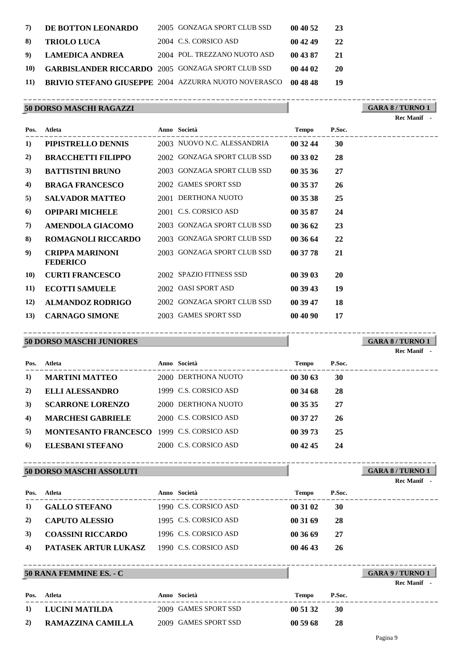| 7)        | DE BOTTON LEONARDO                                       | 2005 GONZAGA SPORT CLUB SSD  | 004052   | <b>23</b> |
|-----------|----------------------------------------------------------|------------------------------|----------|-----------|
| 8)        | <b>TRIOLO LUCA</b>                                       | 2004 C.S. CORSICO ASD        | 004249   | 22        |
| 9)        | <b>LAMEDICA ANDREA</b>                                   | 2004 POL. TREZZANO NUOTO ASD | 00 43 87 | 21        |
| <b>10</b> | <b>GARBISLANDER RICCARDO</b> 2005 GONZAGA SPORT CLUB SSD |                              | 004402   | 20        |
| 11)       | BRIVIO STEFANO GIUSEPPE 2004 AZZURRA NUOTO NOVERASCO     |                              | 00 48 48 | 19        |

#### **50 DORSO MASCHI RAGAZZI** ----------------------------------------------------------------------------------------

**GARA 8 / TURNO 1**

|      |                                           |                             |              |        | Rec Manif -  |
|------|-------------------------------------------|-----------------------------|--------------|--------|--------------|
| Pos. | Atleta                                    | Anno Società                | <b>Tempo</b> | P.Soc. | ____________ |
| 1)   | PIPISTRELLO DENNIS                        | 2003 NUOVO N.C. ALESSANDRIA | 00 32 44     | 30     |              |
| 2)   | <b>BRACCHETTI FILIPPO</b>                 | 2002 GONZAGA SPORT CLUB SSD | 00 33 02     | 28     |              |
| 3)   | <b>BATTISTINI BRUNO</b>                   | 2003 GONZAGA SPORT CLUB SSD | 00 35 36     | 27     |              |
| 4)   | <b>BRAGA FRANCESCO</b>                    | 2002 GAMES SPORT SSD        | 00 35 37     | 26     |              |
| 5)   | <b>SALVADOR MATTEO</b>                    | 2001 DERTHONA NUOTO         | 00 35 38     | 25     |              |
| 6)   | <b>OPIPARI MICHELE</b>                    | 2001 C.S. CORSICO ASD       | 00 35 87     | 24     |              |
| 7)   | <b>AMENDOLA GIACOMO</b>                   | 2003 GONZAGA SPORT CLUB SSD | 00 36 62     | 23     |              |
| 8)   | <b>ROMAGNOLI RICCARDO</b>                 | 2003 GONZAGA SPORT CLUB SSD | 00 36 64     | 22     |              |
| 9)   | <b>CRIPPA MARINONI</b><br><b>FEDERICO</b> | 2003 GONZAGA SPORT CLUB SSD | 00 37 78     | 21     |              |
| 10)  | <b>CURTI FRANCESCO</b>                    | 2002 SPAZIO FITNESS SSD     | 00 39 03     | 20     |              |
| 11)  | <b>ECOTTI SAMUELE</b>                     | 2002 OASI SPORT ASD         | 00 39 43     | 19     |              |
| 12)  | <b>ALMANDOZ RODRIGO</b>                   | 2002 GONZAGA SPORT CLUB SSD | 00 39 47     | 18     |              |
| 13)  | <b>CARNAGO SIMONE</b>                     | 2003 GAMES SPORT SSD        | 00 40 90     | 17     |              |

#### **50 DORSO MASCHI JUNIORES** ----------------------------------------------------------------------------------------

**GARA 8 / TURNO 1**

**GARA 8 / TURNO 1**

**GARA 9 / TURNO 1**

|      |                                                   |                       |          |        | <b>Rec Manif</b> |
|------|---------------------------------------------------|-----------------------|----------|--------|------------------|
| Pos. | Atleta                                            | Anno Società          | Tempo    | P.Soc. |                  |
| 1)   | <b>MARTINI MATTEO</b>                             | 2000 DERTHONA NUOTO   | 00 30 63 | 30     |                  |
| 2)   | <b>ELLI ALESSANDRO</b>                            | 1999 C.S. CORSICO ASD | 00 34 68 | 28     |                  |
| 3)   | <b>SCARRONE LORENZO</b>                           | 2000 DERTHONA NUOTO   | 00 35 35 | 27     |                  |
| 4)   | <b>MARCHESI GABRIELE</b>                          | 2000 C.S. CORSICO ASD | 00 37 27 | 26     |                  |
| 5)   | <b>MONTESANTO FRANCESCO</b> 1999 C.S. CORSICO ASD |                       | 00 39 73 | 25     |                  |
| 6)   | ELESBANI STEFANO                                  | 2000 C.S. CORSICO ASD | 004245   | 24     |                  |
|      |                                                   |                       |          |        |                  |

----------------------------------------------------------------------------------------

### **50 DORSO MASCHI ASSOLUTI**

|      |                          |                       |              |        | <b>Rec Manif</b> - |
|------|--------------------------|-----------------------|--------------|--------|--------------------|
| Pos. | Atleta                   | Anno Società          | <b>Tempo</b> | P.Soc. |                    |
| 1)   | <b>GALLO STEFANO</b>     | 1990 C.S. CORSICO ASD | 00 31 02     | 30     |                    |
| 2)   | <b>CAPUTO ALESSIO</b>    | 1995 C.S. CORSICO ASD | 00 31 69     | -28    |                    |
| 3)   | <b>COASSINI RICCARDO</b> | 1996 C.S. CORSICO ASD | 003669       | 27     |                    |
| 4)   | PATASEK ARTUR LUKASZ     | 1990 C.S. CORSICO ASD | 004643       | 26     |                    |

#### **50 RANA FEMMINE ES. - C** ----------------------------------------------------------------------------------------

|      |                   |                      |          |        | <b>Rec Manif</b> |
|------|-------------------|----------------------|----------|--------|------------------|
| Pos. | Atleta            | Anno Società         | Tempo    | P.Soc. |                  |
|      | 1) LUCINI MATILDA | 2009 GAMES SPORT SSD | 00 51 32 | 30     |                  |
| 2)   | RAMAZZINA CAMILLA | 2009 GAMES SPORT SSD | 005968   | -28    |                  |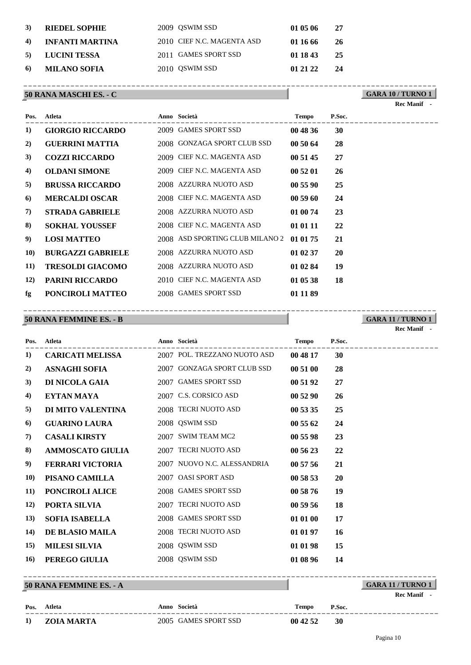| <b>3</b> | <b>RIEDEL SOPHIE</b> | 2009 QSWIM SSD             | 01 05 06 | - 27 |
|----------|----------------------|----------------------------|----------|------|
|          | 4) INFANTI MARTINA   | 2010 CIEF N.C. MAGENTA ASD | 01 16 66 | -26  |
|          | 5) LUCINI TESSA      | 2011 GAMES SPORT SSD       | 01 18 43 | - 25 |
| 6)       | MILANO SOFIA         | 2010 QSWIM SSD             | 01 21 22 | 24   |

#### **50 RANA MASCHI ES. - C** ----------------------------------------------------------------------------------------

**GARA 10 / TURNO 1 Rec Manif -** 

| Pos.        | Atleta                   | Anno Società                    | Tempo    | P.Soc.    |
|-------------|--------------------------|---------------------------------|----------|-----------|
| 1)          | <b>GIORGIO RICCARDO</b>  | 2009 GAMES SPORT SSD            | 00 48 36 | 30        |
| 2)          | <b>GUERRINI MATTIA</b>   | 2008 GONZAGA SPORT CLUB SSD     | 00 50 64 | 28        |
| 3)          | <b>COZZI RICCARDO</b>    | 2009 CIEF N.C. MAGENTA ASD      | 00 51 45 | 27        |
| 4)          | <b>OLDANI SIMONE</b>     | 2009 CIEF N.C. MAGENTA ASD      | 00 52 01 | 26        |
| 5)          | <b>BRUSSA RICCARDO</b>   | 2008 AZZURRA NUOTO ASD          | 00 55 90 | 25        |
| 6)          | <b>MERCALDI OSCAR</b>    | 2008 CIEF N.C. MAGENTA ASD      | 00 59 60 | 24        |
| 7)          | <b>STRADA GABRIELE</b>   | 2008 AZZURRA NUOTO ASD          | 01 00 74 | 23        |
| 8)          | <b>SOKHAL YOUSSEF</b>    | 2008 CIEF N.C. MAGENTA ASD      | 01 01 11 | 22        |
| 9)          | <b>LOSI MATTEO</b>       | 2008 ASD SPORTING CLUB MILANO 2 | 01 01 75 | 21        |
| <b>10)</b>  | <b>BURGAZZI GABRIELE</b> | 2008 AZZURRA NUOTO ASD          | 01 02 37 | <b>20</b> |
| <b>11</b> ) | <b>TRESOLDI GIACOMO</b>  | 2008 AZZURRA NUOTO ASD          | 01 02 84 | 19        |
| <b>12</b> ) | <b>PARINI RICCARDO</b>   | 2010 CIEF N.C. MAGENTA ASD      | 01 05 38 | 18        |
| fg          | PONCIROLI MATTEO         | 2008 GAMES SPORT SSD            | 01 11 89 |           |

#### **50 RANA FEMMINE ES. - B** ----------------------------------------------------------------------------------------

**GARA 11 / TURNO 1 Rec Manif -** 

| Pos.        | <b>Atleta</b>              | Anno Società                 | <b>Tempo</b> | P.Soc.    | _____________       |
|-------------|----------------------------|------------------------------|--------------|-----------|---------------------|
| 1)          | <b>CARICATI MELISSA</b>    | 2007 POL. TREZZANO NUOTO ASD | 00 48 17     | 30        |                     |
| 2)          | <b>ASNAGHI SOFIA</b>       | 2007 GONZAGA SPORT CLUB SSD  | 00 51 00     | 28        |                     |
| 3)          | DI NICOLA GAIA             | 2007 GAMES SPORT SSD         | 00 51 92     | 27        |                     |
| 4)          | EYTAN MAYA                 | 2007 C.S. CORSICO ASD        | 00 52 90     | <b>26</b> |                     |
| 5)          | DI MITO VALENTINA          | 2008 TECRI NUOTO ASD         | 00 53 35     | 25        |                     |
| 6)          | <b>GUARINO LAURA</b>       | 2008 QSWIM SSD               | 00 55 62     | 24        |                     |
| 7)          | <b>CASALI KIRSTY</b>       | 2007 SWIM TEAM MC2           | 00 55 98     | 23        |                     |
| 8)          | <b>AMMOSCATO GIULIA</b>    | 2007 TECRI NUOTO ASD         | $00\,56\,23$ | 22        |                     |
| 9)          | <b>FERRARI VICTORIA</b>    | 2007 NUOVO N.C. ALESSANDRIA  | 00 57 56     | 21        |                     |
| <b>10</b>   | PISANO CAMILLA             | 2007 OASI SPORT ASD          | 00 58 53     | 20        |                     |
| 11)         | PONCIROLI ALICE            | 2008 GAMES SPORT SSD         | 00 58 76     | 19        |                     |
| <b>12</b> ) | PORTA SILVIA               | 2007 TECRI NUOTO ASD         | 00 59 56     | 18        |                     |
| 13)         | <b>SOFIA ISABELLA</b>      | 2008 GAMES SPORT SSD         | 01 01 00     | 17        |                     |
| 14)         | DE BLASIO MAILA            | 2008 TECRI NUOTO ASD         | 01 01 97     | <b>16</b> |                     |
| 15)         | <b>MILESI SILVIA</b>       | 2008 QSWIM SSD               | 01 01 98     | 15        |                     |
| 16)         | PEREGO GIULIA              | 2008 QSWIM SSD               | 01 08 96     | 14        |                     |
|             | $E_0$ DANA EEMAN HUE EQ. A |                              |              |           | CAD4 44 / TITIDMO 4 |

#### ---------------------------------------------------------------------------------------- **Atleta Anno Società Tempo P.Soc. 50 RANA FEMMINE ES. - A Pos. GARA 11 / TURNO 1 Rec Manif - 1) ZOIA MARTA** 2005 GAMES SPORT SSD **00 42 52 30**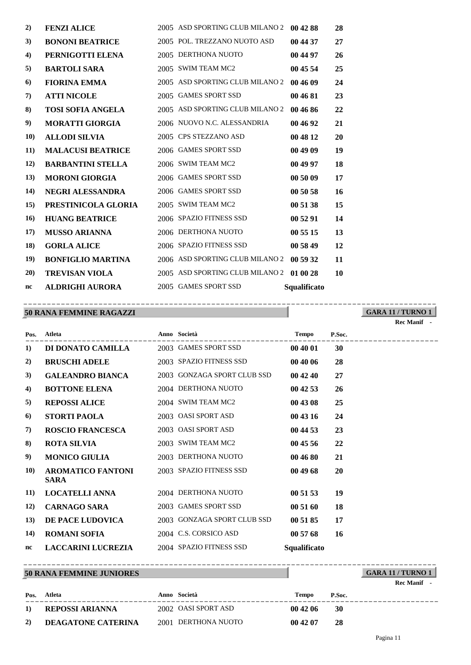| 2)          | <b>FENZI ALICE</b>       | 2005 ASD SPORTING CLUB MILANO 2          | 00 42 88            | 28 |
|-------------|--------------------------|------------------------------------------|---------------------|----|
| 3)          | <b>BONONI BEATRICE</b>   | 2005 POL. TREZZANO NUOTO ASD             | 00 44 37            | 27 |
| 4)          | PERNIGOTTI ELENA         | 2005 DERTHONA NUOTO                      | 00 44 97            | 26 |
| 5)          | <b>BARTOLI SARA</b>      | 2005 SWIM TEAM MC2                       | 00 45 54            | 25 |
| 6)          | <b>FIORINA EMMA</b>      | 2005 ASD SPORTING CLUB MILANO 2          | 00 46 09            | 24 |
| 7)          | <b>ATTI NICOLE</b>       | 2005 GAMES SPORT SSD                     | 00 46 81            | 23 |
| 8)          | <b>TOSI SOFIA ANGELA</b> | 2005 ASD SPORTING CLUB MILANO 2          | 00 46 86            | 22 |
| 9)          | <b>MORATTI GIORGIA</b>   | 2006 NUOVO N.C. ALESSANDRIA              | 00 46 92            | 21 |
| 10)         | <b>ALLODI SILVIA</b>     | 2005 CPS STEZZANO ASD                    | 00 48 12            | 20 |
| <b>11</b> ) | <b>MALACUSI BEATRICE</b> | 2006 GAMES SPORT SSD                     | 00 49 09            | 19 |
| <b>12</b> ) | <b>BARBANTINI STELLA</b> | 2006 SWIM TEAM MC2                       | 00 49 97            | 18 |
| 13)         | <b>MORONI GIORGIA</b>    | 2006 GAMES SPORT SSD                     | 00 50 09            | 17 |
| 14)         | NEGRI ALESSANDRA         | 2006 GAMES SPORT SSD                     | 00 50 58            | 16 |
| 15)         | PRESTINICOLA GLORIA      | 2005 SWIM TEAM MC2                       | 00 51 38            | 15 |
| 16)         | <b>HUANG BEATRICE</b>    | 2006 SPAZIO FITNESS SSD                  | 00 52 91            | 14 |
| 17)         | <b>MUSSO ARIANNA</b>     | 2006 DERTHONA NUOTO                      | 00 55 15            | 13 |
| 18)         | <b>GORLA ALICE</b>       | 2006 SPAZIO FITNESS SSD                  | 00 58 49            | 12 |
| 19)         | <b>BONFIGLIO MARTINA</b> | 2006 ASD SPORTING CLUB MILANO 2          | 00 59 32            | 11 |
| 20)         | <b>TREVISAN VIOLA</b>    | 2005 ASD SPORTING CLUB MILANO 2 01 00 28 |                     | 10 |
| nc          | ALDRIGHI AURORA          | 2005 GAMES SPORT SSD                     | <b>Squalificato</b> |    |

#### **50 RANA FEMMINE RAGAZZI** ----------------------------------------------------------------------------------------

**GARA 11 / TURNO 1 Rec Manif -** 

| Pos.        | Atleta                                  | Anno Società                | <b>Tempo</b> | P.Soc. |
|-------------|-----------------------------------------|-----------------------------|--------------|--------|
| $\bf{1}$    | DI DONATO CAMILLA                       | 2003 GAMES SPORT SSD        | 00 40 01     | 30     |
| 2)          | <b>BRUSCHI ADELE</b>                    | 2003 SPAZIO FITNESS SSD     | 00 40 06     | 28     |
| 3)          | <b>GALEANDRO BIANCA</b>                 | 2003 GONZAGA SPORT CLUB SSD | 004240       | 27     |
| 4)          | <b>BOTTONE ELENA</b>                    | 2004 DERTHONA NUOTO         | $00\,42\,53$ | 26     |
| 5)          | <b>REPOSSI ALICE</b>                    | 2004 SWIM TEAM MC2          | 00 43 08     | 25     |
| 6)          | <b>STORTI PAOLA</b>                     | 2003 OASI SPORT ASD         | 00 43 16     | 24     |
| 7)          | <b>ROSCIO FRANCESCA</b>                 | 2003 OASI SPORT ASD         | 00 44 53     | 23     |
| 8)          | <b>ROTA SILVIA</b>                      | 2003 SWIM TEAM MC2          | 00 45 56     | 22     |
| 9)          | <b>MONICO GIULIA</b>                    | 2003 DERTHONA NUOTO         | 00 46 80     | 21     |
| <b>10)</b>  | <b>AROMATICO FANTONI</b><br><b>SARA</b> | 2003 SPAZIO FITNESS SSD     | 00 49 68     | 20     |
| <b>11</b> ) | <b>LOCATELLI ANNA</b>                   | 2004 DERTHONA NUOTO         | 00 51 53     | 19     |
| <b>12</b> ) | <b>CARNAGO SARA</b>                     | 2003 GAMES SPORT SSD        | 00 51 60     | 18     |
| 13)         | DE PACE LUDOVICA                        | 2003 GONZAGA SPORT CLUB SSD | 00 51 85     | 17     |
| 14)         | <b>ROMANI SOFIA</b>                     | 2004 C.S. CORSICO ASD       | 00 57 68     | 16     |
| nc          | <b>LACCARINI LUCREZIA</b>               | 2004 SPAZIO FITNESS SSD     | Squalificato |        |

# **50 RANA FEMMINE JUNIORES**

| <b>50 RANA FEMMINE JUNIORES</b> | \ 11 / TURNO \ |
|---------------------------------|----------------|

|      |                           |                     |              |        | Rec Manif - |
|------|---------------------------|---------------------|--------------|--------|-------------|
| Pos. | Atleta                    | Anno Società        | <b>Tempo</b> | P.Soc. |             |
| 1)   | REPOSSI ARIANNA           | 2002 OASI SPORT ASD | 004206       | -30    |             |
| 2)   | <b>DEAGATONE CATERINA</b> | 2001 DERTHONA NUOTO | 004207       | 28     |             |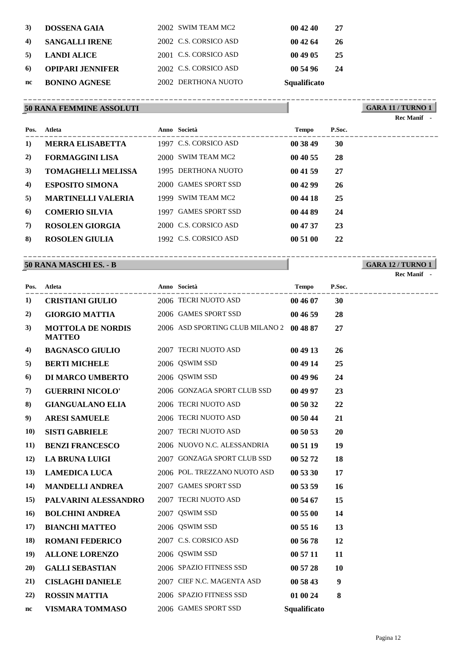| <b>3</b> ) | <b>DOSSENA GAIA</b>     | 2002 SWIM TEAM MC2    | 004240              | 27  |
|------------|-------------------------|-----------------------|---------------------|-----|
| 4)         | <b>SANGALLI IRENE</b>   | 2002 C.S. CORSICO ASD | 004264              | -26 |
| 5)         | <b>LANDI ALICE</b>      | 2001 C.S. CORSICO ASD | 00 49 05            | -25 |
| 6)         | <b>OPIPARI JENNIFER</b> | 2002 C.S. CORSICO ASD | 005496              | -24 |
| nc         | <b>BONINO AGNESE</b>    | 2002 DERTHONA NUOTO   | <b>Squalificato</b> |     |

#### **50 RANA FEMMINE ASSOLUTI** ----------------------------------------------------------------------------------------

| GARA 11 / TURNO 1 |  |           |  |
|-------------------|--|-----------|--|
|                   |  | Rec Manif |  |

|      |                           |                       |              |        | <b>Rec Manif</b> |
|------|---------------------------|-----------------------|--------------|--------|------------------|
| Pos. | Atleta                    | Anno Società          | <b>Tempo</b> | P.Soc. |                  |
| 1)   | MERRA ELISABETTA          | 1997 C.S. CORSICO ASD | 00 38 49     | 30     |                  |
| 2)   | <b>FORMAGGINI LISA</b>    | 2000 SWIM TEAM MC2    | 00 40 55     | 28     |                  |
| 3)   | <b>TOMAGHELLI MELISSA</b> | 1995 DERTHONA NUOTO   | 00 41 59     | 27     |                  |
| 4)   | <b>ESPOSITO SIMONA</b>    | 2000 GAMES SPORT SSD  | 00 42 99     | 26     |                  |
| 5)   | <b>MARTINELLI VALERIA</b> | 1999 SWIM TEAM MC2    | 00 44 18     | 25     |                  |
| 6)   | <b>COMERIO SILVIA</b>     | 1997 GAMES SPORT SSD  | 00 44 89     | 24     |                  |
| 7)   | <b>ROSOLEN GIORGIA</b>    | 2000 C.S. CORSICO ASD | 00 47 37     | 23     |                  |
| 8)   | <b>ROSOLEN GIULIA</b>     | 1992 C.S. CORSICO ASD | 00 51 00     | 22     |                  |
|      |                           |                       |              |        |                  |

----------------------------------------------------------------------------------------

# **50 RANA MASCHI ES. - B**

**GARA 12 / TURNO 1**

**Rec Manif -** 

| Pos.              | Atleta                                    | Anno Società                             | <b>Tempo</b>        | P.Soc.           |
|-------------------|-------------------------------------------|------------------------------------------|---------------------|------------------|
| 1)                | <b>CRISTIANI GIULIO</b>                   | 2006 TECRI NUOTO ASD                     | 00 46 07            | 30               |
| 2)                | <b>GIORGIO MATTIA</b>                     | 2006 GAMES SPORT SSD                     | 00 46 59            | 28               |
| 3)                | <b>MOTTOLA DE NORDIS</b><br><b>MATTEO</b> | 2006 ASD SPORTING CLUB MILANO 2 00 48 87 |                     | 27               |
| $\left( 4\right)$ | <b>BAGNASCO GIULIO</b>                    | 2007 TECRI NUOTO ASD                     | 004913              | 26               |
| 5)                | <b>BERTI MICHELE</b>                      | 2006 QSWIM SSD                           | 00 49 14            | 25               |
| 6)                | <b>DI MARCO UMBERTO</b>                   | 2006 QSWIM SSD                           | 00 49 96            | 24               |
| 7)                | <b>GUERRINI NICOLO'</b>                   | 2006 GONZAGA SPORT CLUB SSD              | 00 49 97            | 23               |
| 8)                | <b>GIANGUALANO ELIA</b>                   | 2006 TECRI NUOTO ASD                     | 00 50 32            | 22               |
| 9)                | <b>ARESI SAMUELE</b>                      | 2006 TECRI NUOTO ASD                     | 00 50 44            | 21               |
| <b>10)</b>        | <b>SISTI GABRIELE</b>                     | 2007 TECRI NUOTO ASD                     | 005053              | 20               |
| <b>11</b> )       | <b>BENZI FRANCESCO</b>                    | 2006 NUOVO N.C. ALESSANDRIA              | 00 51 19            | 19               |
| <b>12</b> )       | <b>LA BRUNA LUIGI</b>                     | 2007 GONZAGA SPORT CLUB SSD              | 00 52 72            | 18               |
| 13)               | <b>LAMEDICA LUCA</b>                      | 2006 POL. TREZZANO NUOTO ASD             | 00 53 30            | 17               |
| 14)               | <b>MANDELLI ANDREA</b>                    | 2007 GAMES SPORT SSD                     | 00 53 59            | <b>16</b>        |
| 15)               | PALVARINI ALESSANDRO                      | 2007 TECRI NUOTO ASD                     | 00 54 67            | 15               |
| 16)               | <b>BOLCHINI ANDREA</b>                    | 2007 QSWIM SSD                           | 00 55 00            | 14               |
| 17)               | <b>BIANCHI MATTEO</b>                     | 2006 QSWIM SSD                           | 00 55 16            | 13               |
| <b>18</b> )       | <b>ROMANI FEDERICO</b>                    | 2007 C.S. CORSICO ASD                    | 00 56 78            | 12               |
| 19)               | <b>ALLONE LORENZO</b>                     | 2006 QSWIM SSD                           | 00 57 11            | 11               |
| <b>20</b> )       | <b>GALLI SEBASTIAN</b>                    | 2006 SPAZIO FITNESS SSD                  | 00 57 28            | 10               |
| 21)               | <b>CISLAGHI DANIELE</b>                   | 2007 CIEF N.C. MAGENTA ASD               | 00 58 43            | $\boldsymbol{9}$ |
| 22)               | <b>ROSSIN MATTIA</b>                      | 2006 SPAZIO FITNESS SSD                  | 01 00 24            | 8                |
| nc                | <b>VISMARA TOMMASO</b>                    | 2006 GAMES SPORT SSD                     | <b>Squalificato</b> |                  |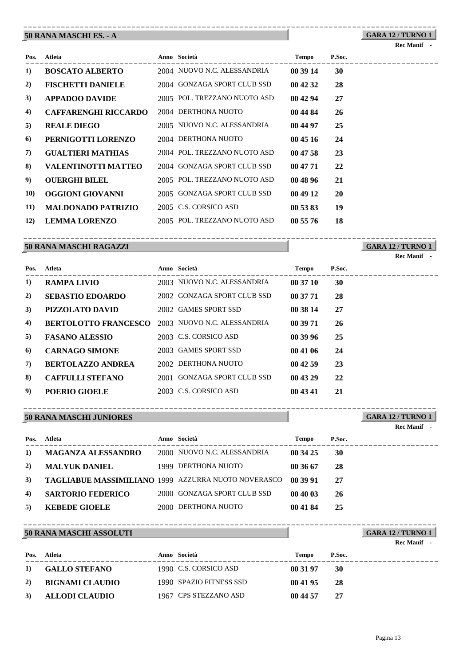#### **50 RANA MASCHI ES. - A** ----------------------------------------------------------------------------------------

# **GARA 12 / TURNO 1**

**Rec Manif -** 

| Pos.        | Atleta                      | Anno Società                 | <b>Tempo</b> | P.Soc. |  |
|-------------|-----------------------------|------------------------------|--------------|--------|--|
| 1)          | <b>BOSCATO ALBERTO</b>      | 2004 NUOVO N.C. ALESSANDRIA  | 00 39 14     | 30     |  |
| 2)          | <b>FISCHETTI DANIELE</b>    | 2004 GONZAGA SPORT CLUB SSD  | 00 42 32     | 28     |  |
| 3)          | <b>APPADOO DAVIDE</b>       | 2005 POL. TREZZANO NUOTO ASD | 00 42 94     | 27     |  |
| 4)          | <b>CAFFARENGHI RICCARDO</b> | 2004 DERTHONA NUOTO          | 00 44 84     | 26     |  |
| 5)          | <b>REALE DIEGO</b>          | 2005 NUOVO N.C. ALESSANDRIA  | 00 44 97     | 25     |  |
| 6)          | PERNIGOTTI LORENZO          | 2004 DERTHONA NUOTO          | 004516       | 24     |  |
| 7)          | <b>GUALTIERI MATHIAS</b>    | 2004 POL. TREZZANO NUOTO ASD | 00 47 58     | 23     |  |
| 8)          | <b>VALENTINOTTI MATTEO</b>  | 2004 GONZAGA SPORT CLUB SSD  | 00 47 71     | 22     |  |
| 9)          | <b>OUERGHI BILEL</b>        | 2005 POL. TREZZANO NUOTO ASD | 00 48 96     | 21     |  |
| <b>10</b>   | OGGIONI GIOVANNI            | 2005 GONZAGA SPORT CLUB SSD  | 00 49 12     | 20     |  |
| 11)         | <b>MALDONADO PATRIZIO</b>   | 2005 C.S. CORSICO ASD        | 00 53 83     | 19     |  |
| <b>12</b> ) | <b>LEMMA LORENZO</b>        | 2005 POL. TREZZANO NUOTO ASD | 00 55 76     | 18     |  |

#### **50 RANA MASCHI RAGAZZI** ----------------------------------------------------------------------------------------

**GARA 12 / TURNO 1**

|      |                             |                             |              |        | Rec Manif - |
|------|-----------------------------|-----------------------------|--------------|--------|-------------|
| Pos. | Atleta                      | Anno Società                | <b>Tempo</b> | P.Soc. |             |
| 1)   | <b>RAMPA LIVIO</b>          | 2003 NUOVO N.C. ALESSANDRIA | 003710       | 30     |             |
| 2)   | <b>SEBASTIO EDOARDO</b>     | 2002 GONZAGA SPORT CLUB SSD | 00 37 71     | 28     |             |
| 3)   | PIZZOLATO DAVID             | 2002 GAMES SPORT SSD        | 00 38 14     | 27     |             |
| 4)   | <b>BERTOLOTTO FRANCESCO</b> | 2003 NUOVO N.C. ALESSANDRIA | 00 39 71     | 26     |             |
| 5)   | <b>FASANO ALESSIO</b>       | 2003 C.S. CORSICO ASD       | 00 39 96     | 25     |             |
| 6)   | <b>CARNAGO SIMONE</b>       | 2003 GAMES SPORT SSD        | 00 41 06     | 24     |             |
| 7)   | <b>BERTOLAZZO ANDREA</b>    | 2002 DERTHONA NUOTO         | 004259       | 23     |             |
| 8)   | <b>CAFFULLI STEFANO</b>     | 2001 GONZAGA SPORT CLUB SSD | 00 43 29     | 22     |             |
| 9)   | POERIO GIOELE               | 2003 C.S. CORSICO ASD       | 00 43 41     | 21     |             |

# **50 RANA MASCHI JUNIORES**

**GARA 12 / TURNO 1** ----------------------------------------------------------------------------------------

|      |                                                     |                             |              |        | <b>Rec Manif</b> |
|------|-----------------------------------------------------|-----------------------------|--------------|--------|------------------|
| Pos. | Atleta                                              | Anno Società                | <b>Tempo</b> | P.Soc. |                  |
| 1)   | <b>MAGANZA ALESSANDRO</b>                           | 2000 NUOVO N.C. ALESSANDRIA | 00 34 25     | -30    |                  |
| 2)   | <b>MALYUK DANIEL</b>                                | 1999 DERTHONA NUOTO         | 00 36 67     | 28     |                  |
| 3)   | TAGLIABUE MASSIMILIANO 1999 AZZURRA NUOTO NOVERASCO |                             | 00 39 91     | 27     |                  |
| 4)   | <b>SARTORIO FEDERICO</b>                            | 2000 GONZAGA SPORT CLUB SSD | 004003       | 26     |                  |
| 5)   | <b>KEBEDE GIOELE</b>                                | 2000 DERTHONA NUOTO         | 00 41 84     | 25     |                  |

|      | <b>50 RANA MASCHI ASSOLUTI</b> |                         |              |        | <b>GARA 12 / TURNO 1</b><br><b>Rec Manif</b> |
|------|--------------------------------|-------------------------|--------------|--------|----------------------------------------------|
| Pos. | Atleta                         | Anno Società            | <b>Tempo</b> | P.Soc. |                                              |
| 1)   | <b>GALLO STEFANO</b>           | 1990 C.S. CORSICO ASD   | 00 31 97     | 30     |                                              |
| 2)   | <b>BIGNAMI CLAUDIO</b>         | 1990 SPAZIO FITNESS SSD | 00 41 95     | 28     |                                              |
| 3)   | <b>ALLODI CLAUDIO</b>          | 1967 CPS STEZZANO ASD   | 00 44 57     | 27     |                                              |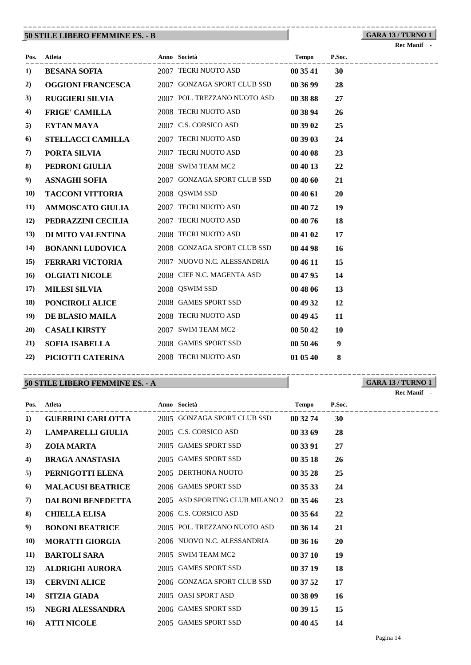#### **50 STILE LIBERO FEMMINE ES. - B** ----------------------------------------------------------------------------------------

**GARA 13 / TURNO 1**

**Rec Manif -** 

| Pos.       | Atleta                   | Anno Società                 | <b>Tempo</b> | P.Soc.           |
|------------|--------------------------|------------------------------|--------------|------------------|
| 1)         | <b>BESANA SOFIA</b>      | 2007 TECRI NUOTO ASD         | 00 35 41     | 30               |
| 2)         | <b>OGGIONI FRANCESCA</b> | 2007 GONZAGA SPORT CLUB SSD  | 00 36 99     | 28               |
| 3)         | <b>RUGGIERI SILVIA</b>   | 2007 POL. TREZZANO NUOTO ASD | 00 38 88     | 27               |
| 4)         | <b>FRIGE' CAMILLA</b>    | 2008 TECRI NUOTO ASD         | 00 38 94     | 26               |
| 5)         | <b>EYTAN MAYA</b>        | 2007 C.S. CORSICO ASD        | 00 39 02     | 25               |
| 6)         | <b>STELLACCI CAMILLA</b> | 2007 TECRI NUOTO ASD         | 00 39 03     | 24               |
| 7)         | PORTA SILVIA             | 2007 TECRI NUOTO ASD         | 00 40 08     | 23               |
| 8)         | PEDRONI GIULIA           | 2008 SWIM TEAM MC2           | 00 40 13     | 22               |
| 9)         | <b>ASNAGHI SOFIA</b>     | 2007 GONZAGA SPORT CLUB SSD  | 00 40 60     | 21               |
| <b>10)</b> | TACCONI VITTORIA         | 2008 QSWIM SSD               | 00 40 61     | 20               |
| 11)        | <b>AMMOSCATO GIULIA</b>  | 2007 TECRI NUOTO ASD         | 00 40 72     | 19               |
| 12)        | PEDRAZZINI CECILIA       | 2007 TECRI NUOTO ASD         | 00 40 76     | 18               |
| 13)        | DI MITO VALENTINA        | 2008 TECRI NUOTO ASD         | 00 41 02     | 17               |
| 14)        | <b>BONANNI LUDOVICA</b>  | 2008 GONZAGA SPORT CLUB SSD  | 00 44 98     | <b>16</b>        |
| 15)        | FERRARI VICTORIA         | 2007 NUOVO N.C. ALESSANDRIA  | 00 46 11     | 15               |
| 16)        | <b>OLGIATI NICOLE</b>    | 2008 CIEF N.C. MAGENTA ASD   | 00 47 95     | 14               |
| 17)        | <b>MILESI SILVIA</b>     | 2008 QSWIM SSD               | 00 48 06     | 13               |
| 18)        | PONCIROLI ALICE          | 2008 GAMES SPORT SSD         | 00 49 32     | 12               |
| 19)        | DE BLASIO MAILA          | 2008 TECRI NUOTO ASD         | 00 49 45     | 11               |
| 20)        | <b>CASALI KIRSTY</b>     | 2007 SWIM TEAM MC2           | 00 50 42     | 10               |
| 21)        | SOFIA ISABELLA           | 2008 GAMES SPORT SSD         | 00 50 46     | $\boldsymbol{9}$ |
| 22)        | PICIOTTI CATERINA        | 2008 TECRI NUOTO ASD         | 01 05 40     | 8                |

#### **50 STILE LIBERO FEMMINE ES. - A** ----------------------------------------------------------------------------------------

**GARA 13 / TURNO 1**

|             |                          |                                 |              |        | Rec Manif - |
|-------------|--------------------------|---------------------------------|--------------|--------|-------------|
| Pos.        | Atleta                   | Anno Società                    | <b>Tempo</b> | P.Soc. |             |
| 1)          | <b>GUERRINI CARLOTTA</b> | 2005 GONZAGA SPORT CLUB SSD     | 00 32 74     | 30     |             |
| 2)          | LAMPARELLI GIULIA        | 2005 C.S. CORSICO ASD           | 00 33 69     | 28     |             |
| 3)          | ZOIA MARTA               | 2005 GAMES SPORT SSD            | 00 33 91     | 27     |             |
| 4)          | BRAGA ANASTASIA          | 2005 GAMES SPORT SSD            | 00 35 18     | 26     |             |
| 5)          | PERNIGOTTI ELENA         | 2005 DERTHONA NUOTO             | 00 35 28     | 25     |             |
| 6)          | <b>MALACUSI BEATRICE</b> | 2006 GAMES SPORT SSD            | 00 35 33     | 24     |             |
| 7)          | <b>DALBONI BENEDETTA</b> | 2005 ASD SPORTING CLUB MILANO 2 | 003546       | 23     |             |
| 8)          | <b>CHIELLA ELISA</b>     | 2006 C.S. CORSICO ASD           | 00 35 64     | 22     |             |
| 9)          | <b>BONONI BEATRICE</b>   | 2005 POL. TREZZANO NUOTO ASD    | 00 36 14     | 21     |             |
| <b>10</b> ) | <b>MORATTI GIORGIA</b>   | 2006 NUOVO N.C. ALESSANDRIA     | 00 36 16     | 20     |             |
| <b>11</b> ) | <b>BARTOLI SARA</b>      | 2005 SWIM TEAM MC2              | 003710       | 19     |             |
| 12)         | <b>ALDRIGHI AURORA</b>   | 2005 GAMES SPORT SSD            | 00 37 19     | 18     |             |
| 13)         | <b>CERVINI ALICE</b>     | 2006 GONZAGA SPORT CLUB SSD     | 00 37 52     | 17     |             |
| 14)         | <b>SITZIA GIADA</b>      | 2005 OASI SPORT ASD             | 00 38 09     | 16     |             |
| <b>15</b> ) | NEGRI ALESSANDRA         | 2006 GAMES SPORT SSD            | 00 39 15     | 15     |             |
| 16)         | <b>ATTI NICOLE</b>       | 2005 GAMES SPORT SSD            | 00 40 45     | 14     |             |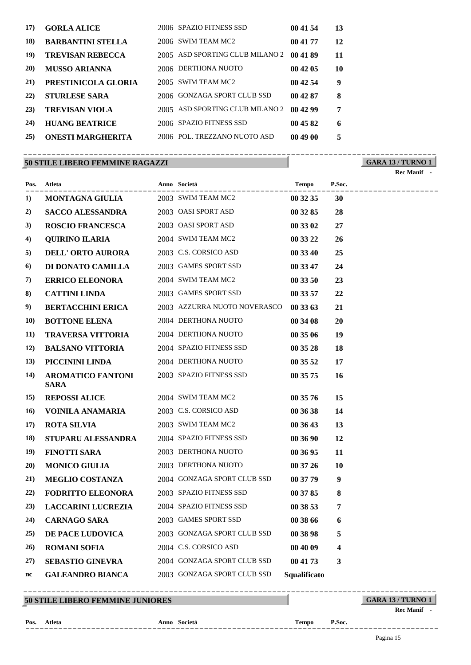| 17)         | <b>GORLA ALICE</b>       | 2006 SPAZIO FITNESS SSD         | 00 41 54 | 13 |
|-------------|--------------------------|---------------------------------|----------|----|
| <b>18</b> ) | <b>BARBANTINI STELLA</b> | 2006 SWIM TEAM MC2              | 00 41 77 | 12 |
| 19)         | <b>TREVISAN REBECCA</b>  | 2005 ASD SPORTING CLUB MILANO 2 | 00 41 89 | 11 |
| <b>20</b> ) | <b>MUSSO ARIANNA</b>     | 2006 DERTHONA NUOTO             | 00 42 05 | 10 |
| 21)         | PRESTINICOLA GLORIA      | 2005 SWIM TEAM MC2              | 00 42 54 | 9  |
| 22)         | <b>STURLESE SARA</b>     | 2006 GONZAGA SPORT CLUB SSD     | 00 42 87 | 8  |
| <b>23</b> ) | <b>TREVISAN VIOLA</b>    | 2005 ASD SPORTING CLUB MILANO 2 | 004299   | 7  |
| 24)         | <b>HUANG BEATRICE</b>    | 2006 SPAZIO FITNESS SSD         | 00 45 82 | 6  |
| <b>25</b> ) | <b>ONESTI MARGHERITA</b> | 2006 POL. TREZZANO NUOTO ASD    | 00 49 00 | 5  |
|             |                          |                                 |          |    |

# **50 STILE LIBERO FEMMINE RAGAZZI**

**GARA 13 / TURNO 1** ----------------------------------------------------------------------------------------

**Rec Manif -** 

|             | Pos. Atleta                             | Anno Società                          | <b>Tempo</b>        | P.Soc.<br>------------------ |  |
|-------------|-----------------------------------------|---------------------------------------|---------------------|------------------------------|--|
| 1)          | <b>MONTAGNA GIULIA</b>                  | 2003 SWIM TEAM MC2                    | 003235              | <b>30</b>                    |  |
| 2)          | <b>SACCO ALESSANDRA</b>                 | 2003 OASI SPORT ASD                   | 00 32 85            | 28                           |  |
| 3)          | <b>ROSCIO FRANCESCA</b>                 | 2003 OASI SPORT ASD                   | 00 33 02            | 27                           |  |
| 4)          | <b>QUIRINO ILARIA</b>                   | 2004 SWIM TEAM MC2                    | 00 33 22            | 26                           |  |
| 5)          | <b>DELL' ORTO AURORA</b>                | 2003 C.S. CORSICO ASD                 | 00 33 40            | 25                           |  |
| 6)          | DI DONATO CAMILLA                       | 2003 GAMES SPORT SSD                  | 00 33 47            | 24                           |  |
| 7)          | <b>ERRICO ELEONORA</b>                  | 2004 SWIM TEAM MC2                    | 00 33 50            | 23                           |  |
| 8)          | <b>CATTINI LINDA</b>                    | 2003 GAMES SPORT SSD                  | 00 33 57            | 22                           |  |
| 9)          | <b>BERTACCHINI ERICA</b>                | 2003 AZZURRA NUOTO NOVERASCO 00 33 63 |                     | 21                           |  |
| <b>10)</b>  | <b>BOTTONE ELENA</b>                    | 2004 DERTHONA NUOTO                   | 00 34 08            | 20                           |  |
| <b>11</b> ) | <b>TRAVERSA VITTORIA</b>                | 2004 DERTHONA NUOTO                   | 00 35 06            | 19                           |  |
| <b>12</b> ) | <b>BALSANO VITTORIA</b>                 | 2004 SPAZIO FITNESS SSD               | 00 35 28            | 18                           |  |
| 13)         | PICCININI LINDA                         | 2004 DERTHONA NUOTO                   | 00 35 52            | 17                           |  |
| 14)         | <b>AROMATICO FANTONI</b><br><b>SARA</b> | 2003 SPAZIO FITNESS SSD               | 00 35 75            | 16                           |  |
| 15)         | <b>REPOSSI ALICE</b>                    | 2004 SWIM TEAM MC2                    | 00 35 76            | 15                           |  |
| 16)         | VOINILA ANAMARIA                        | 2003 C.S. CORSICO ASD                 | 00 36 38            | 14                           |  |
| 17)         | <b>ROTA SILVIA</b>                      | 2003 SWIM TEAM MC2                    | 00 36 43            | 13                           |  |
| <b>18</b> ) | STUPARU ALESSANDRA                      | 2004 SPAZIO FITNESS SSD               | 00 36 90            | 12                           |  |
| 19)         | <b>FINOTTI SARA</b>                     | 2003 DERTHONA NUOTO                   | 00 36 95            | 11                           |  |
| 20)         | <b>MONICO GIULIA</b>                    | 2003 DERTHONA NUOTO                   | 00 37 26            | <b>10</b>                    |  |
| 21)         | <b>MEGLIO COSTANZA</b>                  | 2004 GONZAGA SPORT CLUB SSD           | 00 37 79            | 9                            |  |
| 22)         | <b>FODRITTO ELEONORA</b>                | 2003 SPAZIO FITNESS SSD               | 00 37 85            | 8                            |  |
| (23)        | <b>LACCARINI LUCREZIA</b>               | 2004 SPAZIO FITNESS SSD               | 00 38 53            | 7                            |  |
| 24)         | <b>CARNAGO SARA</b>                     | 2003 GAMES SPORT SSD                  | 00 38 66            | 6                            |  |
| 25)         | DE PACE LUDOVICA                        | 2003 GONZAGA SPORT CLUB SSD           | 00 38 98            | 5                            |  |
| 26)         | <b>ROMANI SOFIA</b>                     | 2004 C.S. CORSICO ASD                 | 00 40 09            | $\overline{\mathbf{4}}$      |  |
| 27)         | <b>SEBASTIO GINEVRA</b>                 | 2004 GONZAGA SPORT CLUB SSD           | 00 41 73            | 3                            |  |
| nc          | <b>GALEANDRO BIANCA</b>                 | 2003 GONZAGA SPORT CLUB SSD           | <b>Squalificato</b> |                              |  |

### **50 STILE LIBERO FEMMINE JUNIORES**

**GARA 13 / TURNO 1** ----------------------------------------------------------------------------------------

**Atleta Anno Società Tempo P.Soc.**

**Rec Manif -** 

<sup>----------------------------------------------------------------------------------------</sup> **Pos.**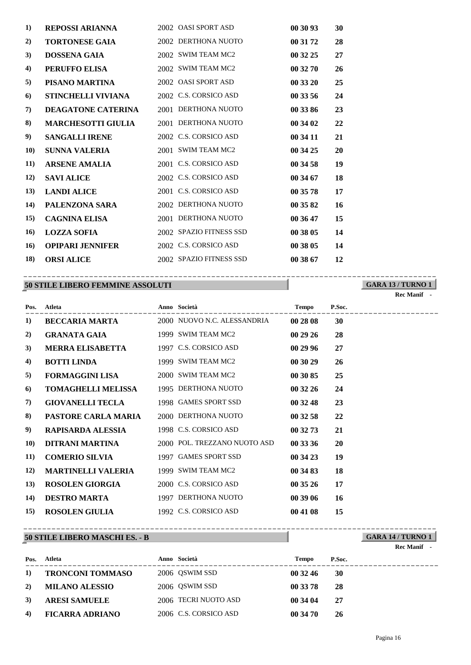| 1)          | <b>REPOSSI ARIANNA</b>    | 2002 OASI SPORT ASD     | 00 30 93 | 30 |
|-------------|---------------------------|-------------------------|----------|----|
| 2)          | <b>TORTONESE GAIA</b>     | 2002 DERTHONA NUOTO     | 00 31 72 | 28 |
| 3)          | <b>DOSSENA GAIA</b>       | 2002 SWIM TEAM MC2      | 00 32 25 | 27 |
| 4)          | PERUFFO ELISA             | 2002 SWIM TEAM MC2      | 00 32 70 | 26 |
| 5)          | PISANO MARTINA            | 2002 OASI SPORT ASD     | 00 33 20 | 25 |
| 6)          | STINCHELLI VIVIANA        | 2002 C.S. CORSICO ASD   | 00 33 56 | 24 |
| 7)          | <b>DEAGATONE CATERINA</b> | 2001 DERTHONA NUOTO     | 00 33 86 | 23 |
| 8)          | <b>MARCHESOTTI GIULIA</b> | 2001 DERTHONA NUOTO     | 00 34 02 | 22 |
| 9)          | <b>SANGALLI IRENE</b>     | 2002 C.S. CORSICO ASD   | 00 34 11 | 21 |
| <b>10)</b>  | <b>SUNNA VALERIA</b>      | 2001 SWIM TEAM MC2      | 00 34 25 | 20 |
| <b>11</b> ) | <b>ARSENE AMALIA</b>      | 2001 C.S. CORSICO ASD   | 00 34 58 | 19 |
| <b>12</b> ) | <b>SAVI ALICE</b>         | 2002 C.S. CORSICO ASD   | 00 34 67 | 18 |
| 13)         | <b>LANDI ALICE</b>        | 2001 C.S. CORSICO ASD   | 00 35 78 | 17 |
| 14)         | PALENZONA SARA            | 2002 DERTHONA NUOTO     | 00 35 82 | 16 |
| 15)         | <b>CAGNINA ELISA</b>      | 2001 DERTHONA NUOTO     | 00 36 47 | 15 |
| 16)         | <b>LOZZA SOFIA</b>        | 2002 SPAZIO FITNESS SSD | 00 38 05 | 14 |
| 16)         | <b>OPIPARI JENNIFER</b>   | 2002 C.S. CORSICO ASD   | 00 38 05 | 14 |
| 18)         | <b>ORSI ALICE</b>         | 2002 SPAZIO FITNESS SSD | 00 38 67 | 12 |
|             |                           |                         |          |    |

#### **50 STILE LIBERO FEMMINE ASSOLUTI** ----------------------------------------------------------------------------------------

| Pos. | Atleta                                        | Anno Società                                      | Tempo    | P.Soc.<br>-------------- |
|------|-----------------------------------------------|---------------------------------------------------|----------|--------------------------|
| 1)   |                                               | <b>BECCARIA MARTA</b> 2000 NUOVO N.C. ALESSANDRIA | 00 28 08 | 30                       |
| 2)   | GRANATA GAIA                                  | 1999 SWIM TEAM MC2                                | 00 29 26 | 28                       |
| 3)   | <b>MERRA ELISABETTA</b>                       | 1997 C.S. CORSICO ASD                             | 00 29 96 | 27                       |
| 4)   | <b>BOTTI LINDA</b>                            | 1999 SWIM TEAM MC2                                | 00 30 29 | 26                       |
| 5)   | <b>FORMAGGINI LISA</b>                        | 2000 SWIM TEAM MC2                                | 00 30 85 | 25                       |
| 6)   | <b>TOMAGHELLI MELISSA</b> 1995 DERTHONA NUOTO |                                                   | 00 32 26 | 24                       |
| 7)   | <b>GIOVANELLI TECLA</b>                       | 1998 GAMES SPORT SSD                              | 003248   | 23                       |
| 8)   | PASTORE CARLA MARIA                           | 2000 DERTHONA NUOTO                               | 003258   | 22                       |
| 9)   | RAPISARDA ALESSIA                             | 1998 C.S. CORSICO ASD                             | 003273   | 21                       |
| 10)  | DITRANI MARTINA                               | 2000 POL. TREZZANO NUOTO ASD                      | 00 33 36 | <b>20</b>                |
| 11)  | <b>COMERIO SILVIA</b>                         | 1997 GAMES SPORT SSD                              | 00 34 23 | 19                       |
| 12)  | <b>MARTINELLI VALERIA</b>                     | 1999 SWIM TEAM MC2                                | 00 34 83 | 18                       |
| 13)  | <b>ROSOLEN GIORGIA</b>                        | 2000 C.S. CORSICO ASD                             | 00 35 26 | 17                       |
| 14)  | <b>DESTRO MARTA</b>                           | 1997 DERTHONA NUOTO                               | 00 39 06 | 16                       |
| 15)  | <b>ROSOLEN GIULIA</b>                         | 1992 C.S. CORSICO ASD                             | 00 41 08 | 15                       |

### **50 STILE LIBERO MASCHI ES. - B**

### ---------------------------------------------------------------------------------------- **Atleta Anno Società Tempo P.Soc. Pos. 1) TRONCONI TOMMASO** 2006 QSWIM SSD **00 32 46 30 2) MILANO ALESSIO** 2006 QSWIM SSD **00 33 78 28 3) ARESI SAMUELE** 2006 TECRI NUOTO ASD **00 34 04 27 4) FICARRA ADRIANO** 2006 C.S. CORSICO ASD **00 34 70 26**

**GARA 13 / TURNO 1 Rec Manif** 

# **Rec Manif**

**GARA 14 / TURNO 1** ----------------------------------------------------------------------------------------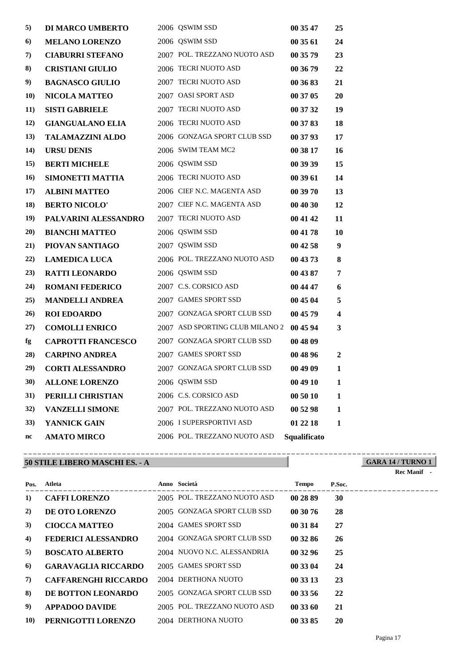| 5)          | <b>DI MARCO UMBERTO</b>   | 2006 QSWIM SSD                  | 00 35 47     | 25                      |
|-------------|---------------------------|---------------------------------|--------------|-------------------------|
| 6)          | <b>MELANO LORENZO</b>     | 2006 QSWIM SSD                  | 00 35 61     | 24                      |
| 7)          | <b>CIABURRI STEFANO</b>   | 2007 POL. TREZZANO NUOTO ASD    | 00 35 79     | 23                      |
| 8)          | <b>CRISTIANI GIULIO</b>   | 2006 TECRI NUOTO ASD            | 00 36 79     | 22                      |
| 9)          | <b>BAGNASCO GIULIO</b>    | 2007 TECRI NUOTO ASD            | 00 36 83     | 21                      |
| <b>10)</b>  | <b>NICOLA MATTEO</b>      | 2007 OASI SPORT ASD             | 00 37 05     | 20                      |
| 11)         | <b>SISTI GABRIELE</b>     | 2007 TECRI NUOTO ASD            | 00 37 32     | 19                      |
| 12)         | <b>GIANGUALANO ELIA</b>   | 2006 TECRI NUOTO ASD            | 00 37 83     | 18                      |
| 13)         | <b>TALAMAZZINI ALDO</b>   | 2006 GONZAGA SPORT CLUB SSD     | 00 37 93     | 17                      |
| 14)         | <b>URSU DENIS</b>         | 2006 SWIM TEAM MC2              | 00 38 17     | 16                      |
| 15)         | <b>BERTI MICHELE</b>      | 2006 QSWIM SSD                  | 00 39 39     | 15                      |
| 16)         | <b>SIMONETTI MATTIA</b>   | 2006 TECRI NUOTO ASD            | 00 39 61     | 14                      |
| 17)         | <b>ALBINI MATTEO</b>      | 2006 CIEF N.C. MAGENTA ASD      | 00 39 70     | 13                      |
| 18)         | <b>BERTO NICOLO'</b>      | 2007 CIEF N.C. MAGENTA ASD      | 00 40 30     | 12                      |
| 19)         | PALVARINI ALESSANDRO      | 2007 TECRI NUOTO ASD            | 00 41 42     | 11                      |
| 20)         | <b>BIANCHI MATTEO</b>     | 2006 QSWIM SSD                  | 00 41 78     | 10                      |
| 21)         | PIOVAN SANTIAGO           | 2007 QSWIM SSD                  | 00 42 58     | $\boldsymbol{9}$        |
| (22)        | <b>LAMEDICA LUCA</b>      | 2006 POL. TREZZANO NUOTO ASD    | 00 43 73     | 8                       |
| 23)         | <b>RATTI LEONARDO</b>     | 2006 QSWIM SSD                  | 00 43 87     | 7                       |
| 24)         | <b>ROMANI FEDERICO</b>    | 2007 C.S. CORSICO ASD           | 00 44 47     | 6                       |
| 25)         | <b>MANDELLI ANDREA</b>    | 2007 GAMES SPORT SSD            | 00 45 04     | 5                       |
| 26)         | <b>ROI EDOARDO</b>        | 2007 GONZAGA SPORT CLUB SSD     | 00 45 79     | $\overline{\mathbf{4}}$ |
| 27)         | <b>COMOLLI ENRICO</b>     | 2007 ASD SPORTING CLUB MILANO 2 | 00 45 94     | 3                       |
| fg          | <b>CAPROTTI FRANCESCO</b> | 2007 GONZAGA SPORT CLUB SSD     | 00 48 09     |                         |
| 28)         | <b>CARPINO ANDREA</b>     | 2007 GAMES SPORT SSD            | 00 48 96     | $\overline{2}$          |
| 29)         | <b>CORTI ALESSANDRO</b>   | 2007 GONZAGA SPORT CLUB SSD     | 00 49 09     | 1                       |
| <b>30</b> ) | <b>ALLONE LORENZO</b>     | 2006 QSWIM SSD                  | 00 49 10     | 1                       |
| 31)         | PERILLI CHRISTIAN         | 2006 C.S. CORSICO ASD           | 00 50 10     | $\mathbf{1}$            |
| 32)         | <b>VANZELLI SIMONE</b>    | 2007 POL. TREZZANO NUOTO ASD    | 00 52 98     | $\mathbf{1}$            |
| 33)         | YANNICK GAIN              | 2006 I SUPERSPORTIVI ASD        | 01 22 18     | 1                       |
| nc          | <b>AMATO MIRCO</b>        | 2006 POL. TREZZANO NUOTO ASD    | Squalificato |                         |

# **50 STILE LIBERO MASCHI ES. - A**

**GARA 14 / TURNO 1** ----------------------------------------------------------------------------------------

| <b>Rec Manif</b> |  |
|------------------|--|
|                  |  |

| Pos.       | Atleta                      | Anno Società                 | <b>Tempo</b> | P.Soc. |
|------------|-----------------------------|------------------------------|--------------|--------|
| 1)         | <b>CAFFI LORENZO</b>        | 2005 POL. TREZZANO NUOTO ASD | 00 28 89     | 30     |
| 2)         | DE OTO LORENZO              | 2005 GONZAGA SPORT CLUB SSD  | 00 30 76     | 28     |
| 3)         | <b>CIOCCA MATTEO</b>        | 2004 GAMES SPORT SSD         | 00 31 84     | 27     |
| 4)         | FEDERICI ALESSANDRO         | 2004 GONZAGA SPORT CLUB SSD  | 00 32 86     | 26     |
| 5)         | <b>BOSCATO ALBERTO</b>      | 2004 NUOVO N.C. ALESSANDRIA  | 00 32 96     | 25     |
| 6          | <b>GARAVAGLIA RICCARDO</b>  | 2005 GAMES SPORT SSD         | 00 33 04     | 24     |
| 7)         | <b>CAFFARENGHI RICCARDO</b> | 2004 DERTHONA NUOTO          | 00 33 13     | 23     |
| 8)         | DE BOTTON LEONARDO          | 2005 GONZAGA SPORT CLUB SSD  | 00 33 56     | 22     |
| 9)         | <b>APPADOO DAVIDE</b>       | 2005 POL. TREZZANO NUOTO ASD | 003360       | 21     |
| <b>10)</b> | PERNIGOTTI LORENZO          | 2004 DERTHONA NUOTO          | 00 33 85     | 20     |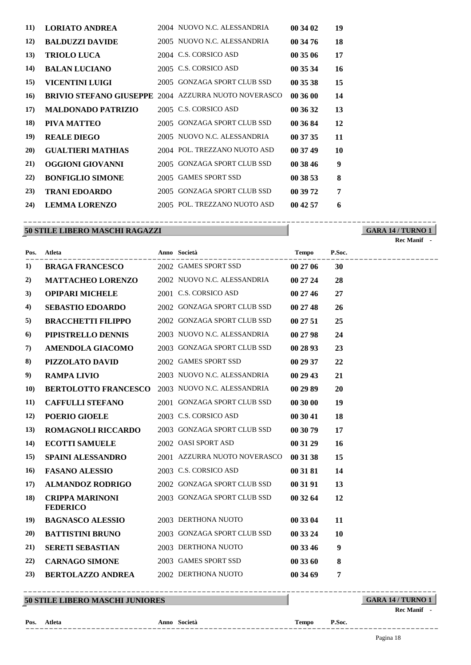| <b>11</b> ) | <b>LORIATO ANDREA</b>                                |      | 2004 NUOVO N.C. ALESSANDRIA   | 00 34 02 | 19             |
|-------------|------------------------------------------------------|------|-------------------------------|----------|----------------|
| <b>12</b> ) | <b>BALDUZZI DAVIDE</b>                               |      | 2005 NUOVO N.C. ALESSANDRIA   | 00 34 76 | 18             |
| 13)         | <b>TRIOLO LUCA</b>                                   |      | 2004 C.S. CORSICO ASD         | 00 35 06 | 17             |
| <b>14</b> ) | <b>BALAN LUCIANO</b>                                 |      | 2005 C.S. CORSICO ASD         | 00 35 34 | 16             |
| <b>15</b> ) | VICENTINI LUIGI                                      | 2005 | <b>GONZAGA SPORT CLUB SSD</b> | 00 35 38 | 15             |
| 16)         | BRIVIO STEFANO GIUSEPPE 2004 AZZURRA NUOTO NOVERASCO |      |                               | 00 36 00 | 14             |
| 17)         | <b>MALDONADO PATRIZIO</b>                            |      | 2005 C.S. CORSICO ASD         | 00 36 32 | 13             |
| <b>18</b> ) | PIVA MATTEO                                          |      | 2005 GONZAGA SPORT CLUB SSD   | 00 36 84 | 12             |
| 19)         | <b>REALE DIEGO</b>                                   |      | 2005 NUOVO N.C. ALESSANDRIA   | 00 37 35 | 11             |
| <b>20</b> ) | <b>GUALTIERI MATHIAS</b>                             |      | 2004 POL. TREZZANO NUOTO ASD  | 00 37 49 | 10             |
| 21)         | <b>OGGIONI GIOVANNI</b>                              |      | 2005 GONZAGA SPORT CLUB SSD   | 00 38 46 | 9              |
| 22)         | <b>BONFIGLIO SIMONE</b>                              | 2005 | <b>GAMES SPORT SSD</b>        | 00 38 53 | 8              |
| 23)         | <b>TRANI EDOARDO</b>                                 |      | 2005 GONZAGA SPORT CLUB SSD   | 00 39 72 | $\overline{7}$ |
| 24)         | <b>LEMMA LORENZO</b>                                 |      | 2005 POL. TREZZANO NUOTO ASD  | 00 42 57 | 6              |
|             |                                                      |      |                               |          |                |

#### **50 STILE LIBERO MASCHI RAGAZZI** ----------------------------------------------------------------------------------------

**GARA 14 / TURNO 1 Rec Manif -** 

|             | Pos. Atleta                                          |                              | Tempo    | P.Soc.           |
|-------------|------------------------------------------------------|------------------------------|----------|------------------|
| 1)          | <b>BRAGA FRANCESCO</b>                               | 2002 GAMES SPORT SSD         | 00 27 06 | 30               |
| 2)          | <b>MATTACHEO LORENZO</b> 2002 NUOVO N.C. ALESSANDRIA |                              | 00 27 24 | 28               |
| 3)          | <b>OPIPARI MICHELE</b>                               | 2001 C.S. CORSICO ASD        | 00 27 46 | 27               |
| 4)          | <b>SEBASTIO EDOARDO</b>                              | 2002 GONZAGA SPORT CLUB SSD  | 00 27 48 | 26               |
| 5)          | <b>BRACCHETTI FILIPPO</b>                            | 2002 GONZAGA SPORT CLUB SSD  | 00 27 51 | 25               |
| 6)          | PIPISTRELLO DENNIS                                   | 2003 NUOVO N.C. ALESSANDRIA  | 00 27 98 | 24               |
| 7)          | <b>AMENDOLA GIACOMO</b>                              | 2003 GONZAGA SPORT CLUB SSD  | 00 28 93 | 23               |
| 8)          | PIZZOLATO DAVID                                      | 2002 GAMES SPORT SSD         | 00 29 37 | 22               |
| 9)          | <b>RAMPA LIVIO</b>                                   | 2003 NUOVO N.C. ALESSANDRIA  | 00 29 43 | 21               |
| <b>10</b>   | BERTOLOTTO FRANCESCO 2003 NUOVO N.C. ALESSANDRIA     |                              | 00 29 89 | 20               |
| <b>11</b> ) | <b>CAFFULLI STEFANO</b>                              | 2001 GONZAGA SPORT CLUB SSD  | 00 30 00 | 19               |
| <b>12</b> ) | POERIO GIOELE                                        | 2003 C.S. CORSICO ASD        | 00 30 41 | 18               |
| 13)         | <b>ROMAGNOLI RICCARDO</b>                            | 2003 GONZAGA SPORT CLUB SSD  | 00 30 79 | 17               |
| 14)         | <b>ECOTTI SAMUELE</b>                                | 2002 OASI SPORT ASD          | 00 31 29 | <b>16</b>        |
| 15)         | SPAINI ALESSANDRO                                    | 2001 AZZURRA NUOTO NOVERASCO | 00 31 38 | 15               |
| <b>16</b>   | <b>FASANO ALESSIO</b>                                | 2003 C.S. CORSICO ASD        | 00 31 81 | 14               |
| 17)         | <b>ALMANDOZ RODRIGO</b>                              | 2002 GONZAGA SPORT CLUB SSD  | 00 31 91 | 13               |
| 18)         | <b>CRIPPA MARINONI</b><br><b>FEDERICO</b>            | 2003 GONZAGA SPORT CLUB SSD  | 00 32 64 | 12               |
| 19)         | <b>BAGNASCO ALESSIO</b>                              | 2003 DERTHONA NUOTO          | 00 33 04 | 11               |
| 20)         | <b>BATTISTINI BRUNO</b>                              | 2003 GONZAGA SPORT CLUB SSD  | 00 33 24 | 10               |
| 21)         | <b>SERETI SEBASTIAN</b>                              | 2003 DERTHONA NUOTO          | 00 33 46 | $\boldsymbol{9}$ |
| 22)         | <b>CARNAGO SIMONE</b>                                | 2003 GAMES SPORT SSD         | 00 33 60 | 8                |
| 23)         | <b>BERTOLAZZO ANDREA</b>                             | 2002 DERTHONA NUOTO          | 00 34 69 | 7                |

### **50 STILE LIBERO MASCHI JUNIORES**

**GARA 14 / TURNO 1** ----------------------------------------------------------------------------------------

---------------------------------------------------------------------------------------- **Pos.**

**Atleta Anno Società Tempo P.Soc.**

**Rec Manif -**